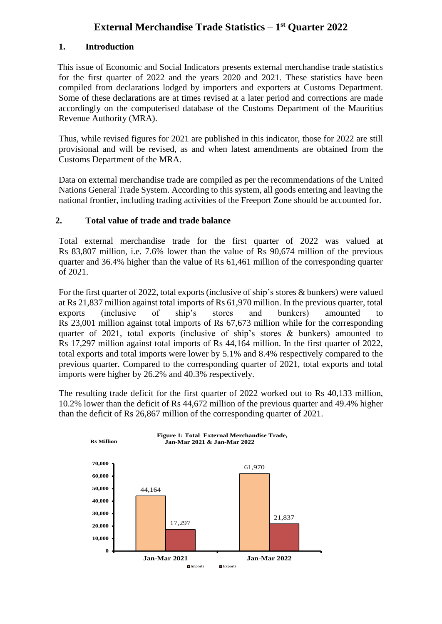# **External Merchandise Trade Statistics – 1 st Quarter 2022**

# **1. Introduction**

This issue of Economic and Social Indicators presents external merchandise trade statistics for the first quarter of 2022 and the years 2020 and 2021. These statistics have been compiled from declarations lodged by importers and exporters at Customs Department. Some of these declarations are at times revised at a later period and corrections are made accordingly on the computerised database of the Customs Department of the Mauritius Revenue Authority (MRA).

Thus, while revised figures for 2021 are published in this indicator, those for 2022 are still provisional and will be revised, as and when latest amendments are obtained from the Customs Department of the MRA.

Data on external merchandise trade are compiled as per the recommendations of the United Nations General Trade System. According to this system, all goods entering and leaving the national frontier, including trading activities of the Freeport Zone should be accounted for.

# **2. Total value of trade and trade balance**

Total external merchandise trade for the first quarter of 2022 was valued at Rs 83,807 million, i.e. 7.6% lower than the value of Rs 90,674 million of the previous quarter and 36.4% higher than the value of Rs 61,461 million of the corresponding quarter of 2021.

For the first quarter of 2022, total exports (inclusive of ship's stores & bunkers) were valued at Rs 21,837 million against total imports of Rs 61,970 million. In the previous quarter, total exports (inclusive of ship's stores and bunkers) amounted to Rs 23,001 million against total imports of Rs 67,673 million while for the corresponding quarter of 2021, total exports (inclusive of ship's stores & bunkers) amounted to Rs 17,297 million against total imports of Rs 44,164 million. In the first quarter of 2022, total exports and total imports were lower by 5.1% and 8.4% respectively compared to the previous quarter. Compared to the corresponding quarter of 2021, total exports and total imports were higher by 26.2% and 40.3% respectively.

The resulting trade deficit for the first quarter of 2022 worked out to Rs 40,133 million, 10.2% lower than the deficit of Rs 44,672 million of the previous quarter and 49.4% higher than the deficit of Rs 26,867 million of the corresponding quarter of 2021.

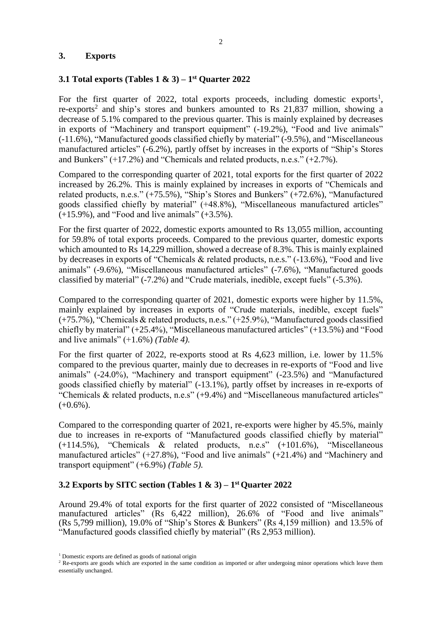## **3. Exports**

# **3.1 Total exports (Tables 1 & 3) – 1 st Quarter 2022**

For the first quarter of 2022, total exports proceeds, including domestic exports<sup>1</sup>, re-exports<sup>2</sup> and ship's stores and bunkers amounted to Rs 21,837 million, showing a decrease of 5.1% compared to the previous quarter. This is mainly explained by decreases in exports of "Machinery and transport equipment" (-19.2%), "Food and live animals" (-11.6%), "Manufactured goods classified chiefly by material" (-9.5%), and "Miscellaneous manufactured articles" (-6.2%), partly offset by increases in the exports of "Ship's Stores and Bunkers"  $(+17.2\%)$  and "Chemicals and related products, n.e.s."  $(+2.7\%)$ .

Compared to the corresponding quarter of 2021, total exports for the first quarter of 2022 increased by 26.2%. This is mainly explained by increases in exports of "Chemicals and related products, n.e.s." (+75.5%), "Ship's Stores and Bunkers" (+72.6%), "Manufactured goods classified chiefly by material" (+48.8%), "Miscellaneous manufactured articles"  $(+15.9\%)$ , and "Food and live animals"  $(+3.5\%)$ .

For the first quarter of 2022, domestic exports amounted to Rs 13,055 million, accounting for 59.8% of total exports proceeds. Compared to the previous quarter, domestic exports which amounted to Rs 14,229 million, showed a decrease of 8.3%. This is mainly explained by decreases in exports of "Chemicals & related products, n.e.s." (-13.6%), "Food and live animals" (-9.6%), "Miscellaneous manufactured articles" (-7.6%), "Manufactured goods classified by material" (-7.2%) and "Crude materials, inedible, except fuels" (-5.3%).

Compared to the corresponding quarter of 2021, domestic exports were higher by 11.5%, mainly explained by increases in exports of "Crude materials, inedible, except fuels" (+75.7%), "Chemicals & related products, n.e.s." (+25.9%), "Manufactured goods classified chiefly by material" (+25.4%), "Miscellaneous manufactured articles" (+13.5%) and "Food and live animals" (+1.6%) *(Table 4).*

For the first quarter of 2022, re-exports stood at Rs 4,623 million, i.e. lower by 11.5% compared to the previous quarter, mainly due to decreases in re-exports of "Food and live animals" (-24.0%), "Machinery and transport equipment" (-23.5%) and "Manufactured goods classified chiefly by material" (-13.1%), partly offset by increases in re-exports of "Chemicals & related products, n.e.s" (+9.4%) and "Miscellaneous manufactured articles"  $(+0.6\%)$ .

Compared to the corresponding quarter of 2021, re-exports were higher by 45.5%, mainly due to increases in re-exports of "Manufactured goods classified chiefly by material" (+114.5%), "Chemicals & related products, n.e.s" (+101.6%), "Miscellaneous manufactured articles" (+27.8%), "Food and live animals" (+21.4%) and "Machinery and transport equipment" (+6.9%) *(Table 5).*

# **3.2 Exports by SITC section (Tables 1 & 3) – 1 st Quarter 2022**

Around 29.4% of total exports for the first quarter of 2022 consisted of "Miscellaneous manufactured articles" (Rs 6,422 million), 26.6% of "Food and live animals" (Rs 5,799 million), 19.0% of "Ship's Stores & Bunkers" (Rs 4,159 million) and 13.5% of "Manufactured goods classified chiefly by material" (Rs 2,953 million).

<sup>&</sup>lt;sup>1</sup> Domestic exports are defined as goods of national origin

<sup>&</sup>lt;sup>2</sup> Re-exports are goods which are exported in the same condition as imported or after undergoing minor operations which leave them essentially unchanged.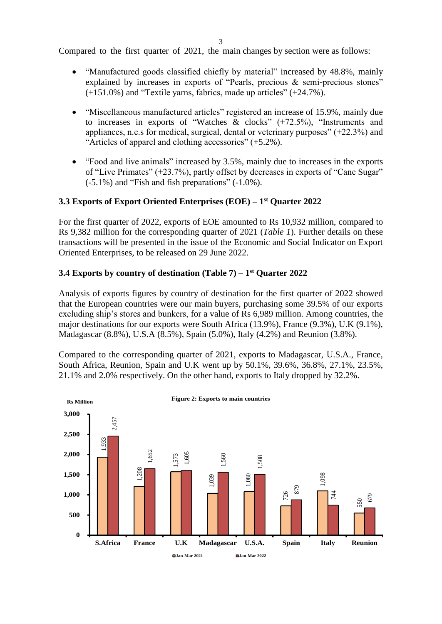Compared to the first quarter of 2021, the main changes by section were as follows:

- "Manufactured goods classified chiefly by material" increased by 48.8%, mainly explained by increases in exports of "Pearls, precious & semi-precious stones" (+151.0%) and "Textile yarns, fabrics, made up articles" (+24.7%).
- "Miscellaneous manufactured articles" registered an increase of 15.9%, mainly due to increases in exports of "Watches & clocks" (+72.5%), "Instruments and appliances, n.e.s for medical, surgical, dental or veterinary purposes" (+22.3%) and "Articles of apparel and clothing accessories" (+5.2%).
- "Food and live animals" increased by 3.5%, mainly due to increases in the exports of "Live Primates" (+23.7%), partly offset by decreases in exports of "Cane Sugar" (-5.1%) and "Fish and fish preparations" (-1.0%).

# **3.3 Exports of Export Oriented Enterprises (EOE) – 1 st Quarter 2022**

For the first quarter of 2022, exports of EOE amounted to Rs 10,932 million, compared to Rs 9,382 million for the corresponding quarter of 2021 (*Table 1*). Further details on these transactions will be presented in the issue of the Economic and Social Indicator on Export Oriented Enterprises, to be released on 29 June 2022.

## **3.4 Exports by country of destination (Table 7) – 1 st Quarter 2022**

Analysis of exports figures by country of destination for the first quarter of 2022 showed that the European countries were our main buyers, purchasing some 39.5% of our exports excluding ship's stores and bunkers, for a value of Rs 6,989 million. Among countries, the major destinations for our exports were South Africa (13.9%), France (9.3%), U.K (9.1%), Madagascar (8.8%), U.S.A (8.5%), Spain (5.0%), Italy (4.2%) and Reunion (3.8%).

Compared to the corresponding quarter of 2021, exports to Madagascar, U.S.A., France, South Africa, Reunion, Spain and U.K went up by 50.1%, 39.6%, 36.8%, 27.1%, 23.5%, 21.1% and 2.0% respectively. On the other hand, exports to Italy dropped by 32.2%.

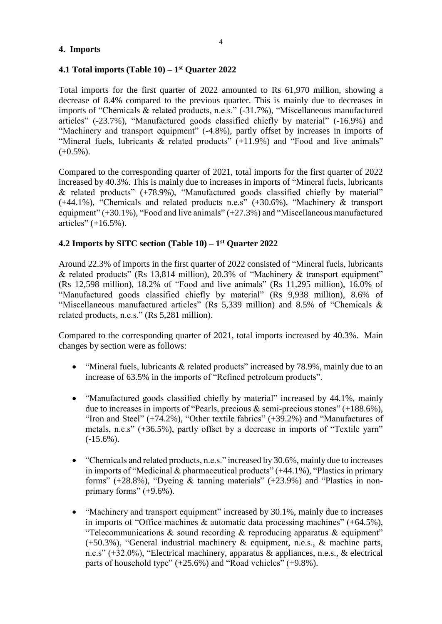## **4. Imports**

# **4.1 Total imports (Table 10) – 1 st Quarter 2022**

Total imports for the first quarter of 2022 amounted to Rs 61,970 million, showing a decrease of 8.4% compared to the previous quarter. This is mainly due to decreases in imports of "Chemicals & related products, n.e.s." (-31.7%), "Miscellaneous manufactured articles" (-23.7%), "Manufactured goods classified chiefly by material" (-16.9%) and "Machinery and transport equipment" (-4.8%), partly offset by increases in imports of "Mineral fuels, lubricants & related products" (+11.9%) and "Food and live animals"  $(+0.5\%)$ .

Compared to the corresponding quarter of 2021, total imports for the first quarter of 2022 increased by 40.3%. This is mainly due to increases in imports of "Mineral fuels, lubricants & related products" (+78.9%), "Manufactured goods classified chiefly by material" (+44.1%), "Chemicals and related products n.e.s" (+30.6%), "Machinery & transport equipment" (+30.1%), "Food and live animals" (+27.3%) and "Miscellaneous manufactured articles" (+16.5%).

# **4.2 Imports by SITC section (Table 10) – 1 st Quarter 2022**

Around 22.3% of imports in the first quarter of 2022 consisted of "Mineral fuels, lubricants & related products" (Rs 13,814 million), 20.3% of "Machinery & transport equipment" (Rs 12,598 million), 18.2% of "Food and live animals" (Rs 11,295 million), 16.0% of "Manufactured goods classified chiefly by material" (Rs 9,938 million), 8.6% of "Miscellaneous manufactured articles" (Rs 5,339 million) and 8.5% of "Chemicals & related products, n.e.s." (Rs 5,281 million).

Compared to the corresponding quarter of 2021, total imports increased by 40.3%. Main changes by section were as follows:

- "Mineral fuels, lubricants & related products" increased by 78.9%, mainly due to an increase of 63.5% in the imports of "Refined petroleum products".
- "Manufactured goods classified chiefly by material" increased by 44.1%, mainly due to increases in imports of "Pearls, precious & semi-precious stones" (+188.6%), "Iron and Steel" (+74.2%), "Other textile fabrics" (+39.2%) and "Manufactures of metals, n.e.s" (+36.5%), partly offset by a decrease in imports of "Textile yarn"  $(-15.6\%)$ .
- "Chemicals and related products, n.e.s." increased by 30.6%, mainly due to increases in imports of "Medicinal & pharmaceutical products" (+44.1%), "Plastics in primary forms" (+28.8%), "Dyeing & tanning materials" (+23.9%) and "Plastics in nonprimary forms"  $(+9.6\%)$ .
- "Machinery and transport equipment" increased by 30.1%, mainly due to increases in imports of "Office machines  $\&$  automatic data processing machines" (+64.5%), "Telecommunications  $\&$  sound recording  $\&$  reproducing apparatus  $\&$  equipment" (+50.3%), "General industrial machinery & equipment, n.e.s., & machine parts, n.e.s" (+32.0%), "Electrical machinery, apparatus & appliances, n.e.s., & electrical parts of household type" (+25.6%) and "Road vehicles" (+9.8%).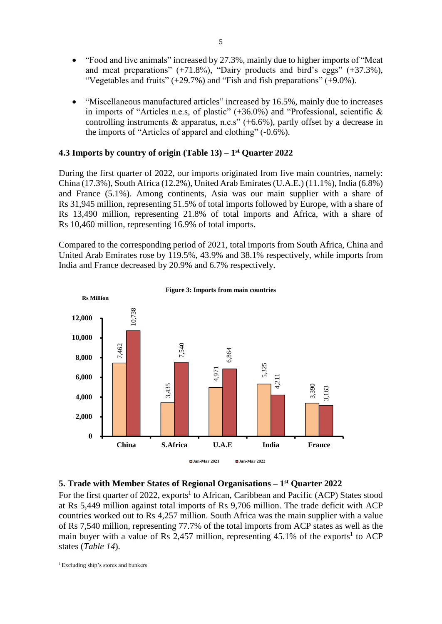- "Food and live animals" increased by 27.3%, mainly due to higher imports of "Meat and meat preparations"  $(+71.8\%)$ , "Dairy products and bird's eggs"  $(+37.3\%)$ , "Vegetables and fruits" (+29.7%) and "Fish and fish preparations" (+9.0%).
- "Miscellaneous manufactured articles" increased by 16.5%, mainly due to increases in imports of "Articles n.e.s, of plastic"  $(+36.0\%)$  and "Professional, scientific & controlling instruments & apparatus, n.e.s" ( $+6.6\%$ ), partly offset by a decrease in the imports of "Articles of apparel and clothing" (-0.6%).

## **4.3 Imports by country of origin (Table 13) – 1 st Quarter 2022**

During the first quarter of 2022, our imports originated from five main countries, namely: China (17.3%), South Africa (12.2%), United Arab Emirates (U.A.E.) (11.1%), India (6.8%) and France (5.1%). Among continents, Asia was our main supplier with a share of Rs 31,945 million, representing 51.5% of total imports followed by Europe, with a share of Rs 13,490 million, representing 21.8% of total imports and Africa, with a share of Rs 10,460 million, representing 16.9% of total imports.

Compared to the corresponding period of 2021, total imports from South Africa, China and United Arab Emirates rose by 119.5%, 43.9% and 38.1% respectively, while imports from India and France decreased by 20.9% and 6.7% respectively.





## **5. Trade with Member States of Regional Organisations – 1 st Quarter 2022**

For the first quarter of 2022, exports<sup>1</sup> to African, Caribbean and Pacific (ACP) States stood at Rs 5,449 million against total imports of Rs 9,706 million. The trade deficit with ACP countries worked out to Rs 4,257 million. South Africa was the main supplier with a value of Rs 7,540 million, representing 77.7% of the total imports from ACP states as well as the main buyer with a value of Rs 2,457 million, representing  $45.1\%$  of the exports<sup>1</sup> to ACP states (*Table 14*).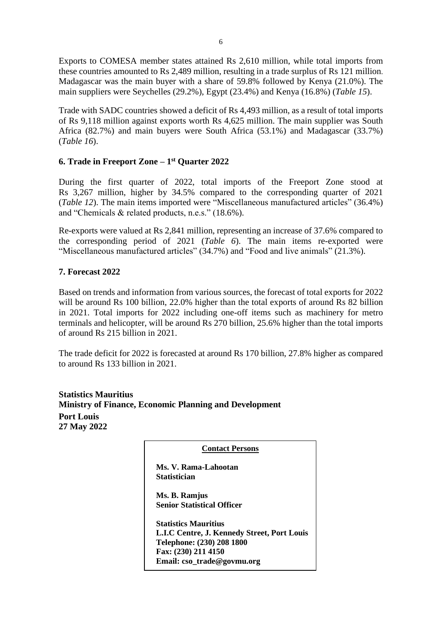Exports to COMESA member states attained Rs 2,610 million, while total imports from these countries amounted to Rs 2,489 million, resulting in a trade surplus of Rs 121 million. Madagascar was the main buyer with a share of 59.8% followed by Kenya (21.0%). The main suppliers were Seychelles (29.2%), Egypt (23.4%) and Kenya (16.8%) (*Table 15*).

Trade with SADC countries showed a deficit of Rs 4,493 million, as a result of total imports of Rs 9,118 million against exports worth Rs 4,625 million. The main supplier was South Africa (82.7%) and main buyers were South Africa (53.1%) and Madagascar (33.7%) (*Table 16*).

# **6. Trade in Freeport Zone – 1 st Quarter 2022**

During the first quarter of 2022, total imports of the Freeport Zone stood at Rs 3,267 million, higher by 34.5% compared to the corresponding quarter of 2021 (*Table 12*). The main items imported were "Miscellaneous manufactured articles" (36.4%) and "Chemicals & related products, n.e.s." (18.6%).

Re-exports were valued at Rs 2,841 million, representing an increase of 37.6% compared to the corresponding period of 2021 (*Table 6*). The main items re-exported were "Miscellaneous manufactured articles" (34.7%) and "Food and live animals" (21.3%).

# **7. Forecast 2022**

Based on trends and information from various sources, the forecast of total exports for 2022 will be around Rs 100 billion, 22.0% higher than the total exports of around Rs 82 billion in 2021. Total imports for 2022 including one-off items such as machinery for metro terminals and helicopter, will be around Rs 270 billion, 25.6% higher than the total imports of around Rs 215 billion in 2021.

The trade deficit for 2022 is forecasted at around Rs 170 billion, 27.8% higher as compared to around Rs 133 billion in 2021.

| <b>Statistics Mauritius</b> |                                                               |
|-----------------------------|---------------------------------------------------------------|
|                             | <b>Ministry of Finance, Economic Planning and Development</b> |
| <b>Port Louis</b>           |                                                               |
| 27 May 2022                 |                                                               |

| <b>Contact Persons</b> |  |
|------------------------|--|
|                        |  |

 **Ms. V. Rama-Lahootan Statistician**

 **Ms. B. Ramjus Senior Statistical Officer**

 **Email: cso\_trade@govmu.org Statistics Mauritius L.I.C Centre, J. Kennedy Street, Port Louis Telephone: (230) 208 1800 Fax: (230) 211 4150**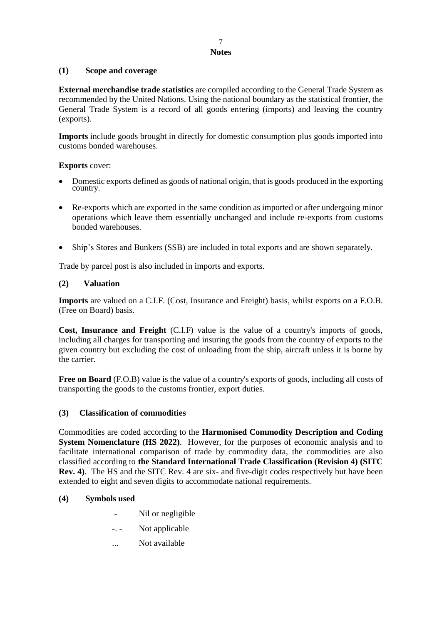## 7 **Notes**

# **(1) Scope and coverage**

**External merchandise trade statistics** are compiled according to the General Trade System as recommended by the United Nations. Using the national boundary as the statistical frontier, the General Trade System is a record of all goods entering (imports) and leaving the country (exports).

**Imports** include goods brought in directly for domestic consumption plus goods imported into customs bonded warehouses.

# **Exports** cover:

- Domestic exports defined as goods of national origin, that is goods produced in the exporting country.
- Re-exports which are exported in the same condition as imported or after undergoing minor operations which leave them essentially unchanged and include re-exports from customs bonded warehouses.
- Ship's Stores and Bunkers (SSB) are included in total exports and are shown separately.

Trade by parcel post is also included in imports and exports.

# **(2) Valuation**

**Imports** are valued on a C.I.F. (Cost, Insurance and Freight) basis, whilst exports on a F.O.B. (Free on Board) basis.

**Cost, Insurance and Freight** (C.I.F) value is the value of a country's imports of goods, including all charges for transporting and insuring the goods from the country of exports to the given country but excluding the cost of unloading from the ship, aircraft unless it is borne by the carrier.

**Free on Board** (F.O.B) value is the value of a country's exports of goods, including all costs of transporting the goods to the customs frontier, export duties.

## **(3) Classification of commodities**

Commodities are coded according to the **Harmonised Commodity Description and Coding System Nomenclature (HS 2022)**. However, for the purposes of economic analysis and to facilitate international comparison of trade by commodity data, the commodities are also classified according to **the Standard International Trade Classification (Revision 4) (SITC Rev. 4)**. The HS and the SITC Rev. 4 are six- and five-digit codes respectively but have been extended to eight and seven digits to accommodate national requirements.

## **(4) Symbols used**

- Nil or negligible
- -. Not applicable
- ... Not available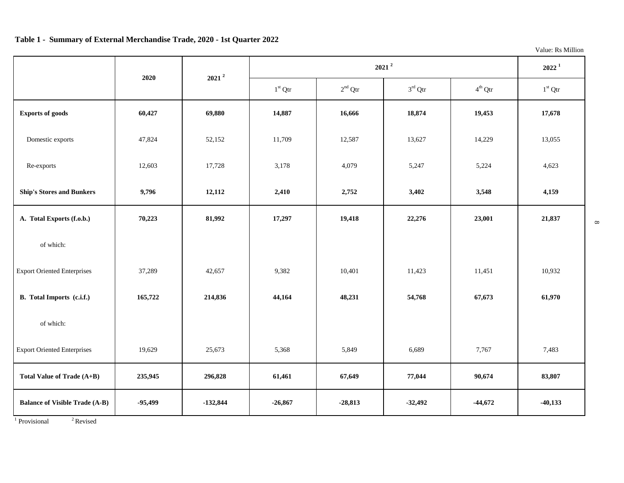## **Table 1 - Summary of External Merchandise Trade, 2020 - 1st Quarter 2022**

Value: Rs Million

 $\infty$ 

|                                       | 2020      | $2021^2$   |                  | $2021^2$  |                     |                     | $2022^1$  |
|---------------------------------------|-----------|------------|------------------|-----------|---------------------|---------------------|-----------|
|                                       |           |            | $1^{\rm st}$ Qtr | $2nd$ Qtr | $3^{\text{rd}}$ Qtr | $4^{\text{th}}$ Qtr | $1st$ Qtr |
| <b>Exports of goods</b>               | 60,427    | 69,880     | 14,887           | 16,666    | 18,874              | 19,453              | 17,678    |
| Domestic exports                      | 47,824    | 52,152     | 11,709           | 12,587    | 13,627              | 14,229              | 13,055    |
| Re-exports                            | 12,603    | 17,728     | 3,178            | 4,079     | 5,247               | 5,224               | 4,623     |
| <b>Ship's Stores and Bunkers</b>      | 9,796     | 12,112     | 2,410            | 2,752     | 3,402               | 3,548               | 4,159     |
| A. Total Exports (f.o.b.)             | 70,223    | 81,992     | 17,297           | 19,418    | 22,276              | 23,001              | 21,837    |
| of which:                             |           |            |                  |           |                     |                     |           |
| <b>Export Oriented Enterprises</b>    | 37,289    | 42,657     | 9,382            | 10,401    | 11,423              | 11,451              | 10,932    |
| B. Total Imports (c.i.f.)             | 165,722   | 214,836    | 44,164           | 48,231    | 54,768              | 67,673              | 61,970    |
| of which:                             |           |            |                  |           |                     |                     |           |
| <b>Export Oriented Enterprises</b>    | 19,629    | 25,673     | 5,368            | 5,849     | 6,689               | 7,767               | 7,483     |
| Total Value of Trade (A+B)            | 235,945   | 296,828    | 61,461           | 67,649    | 77,044              | 90,674              | 83,807    |
| <b>Balance of Visible Trade (A-B)</b> | $-95,499$ | $-132,844$ | $-26,867$        | $-28,813$ | $-32,492$           | $-44,672$           | $-40,133$ |

 $1$  Provisional  $2$  Revised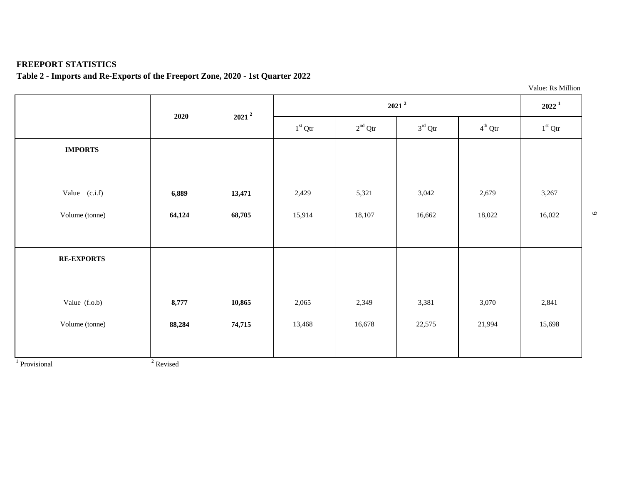# **FREEPORT STATISTICS**

# **Table 2 - Imports and Re-Exports of the Freeport Zone, 2020 - 1st Quarter 2022**

|                   |        |          |           |           |                     |                     | Value: Rs Million |
|-------------------|--------|----------|-----------|-----------|---------------------|---------------------|-------------------|
|                   | 2020   | $2021^2$ |           | $2022^1$  |                     |                     |                   |
|                   |        |          | $1st$ Qtr | $2nd$ Qtr | $3^{\text{rd}}$ Qtr | $4^{\text{th}}$ Qtr | $1st$ Qtr         |
| <b>IMPORTS</b>    |        |          |           |           |                     |                     |                   |
|                   |        |          |           |           |                     |                     |                   |
| Value $(c.i.f)$   | 6,889  | 13,471   | 2,429     | 5,321     | 3,042               | 2,679               | 3,267             |
| Volume (tonne)    | 64,124 | 68,705   | 15,914    | 18,107    | 16,662              | 18,022              | 16,022            |
|                   |        |          |           |           |                     |                     |                   |
| <b>RE-EXPORTS</b> |        |          |           |           |                     |                     |                   |
|                   |        |          |           |           |                     |                     |                   |
| Value (f.o.b)     | 8,777  | 10,865   | 2,065     | 2,349     | 3,381               | 3,070               | 2,841             |
| Volume (tonne)    | 88,284 | 74,715   | 13,468    | 16,678    | 22,575              | 21,994              | 15,698            |
|                   |        |          |           |           |                     |                     |                   |

 $\circ$ 

<sup>1</sup> Provisional <sup>2</sup>

<sup>2</sup> Revised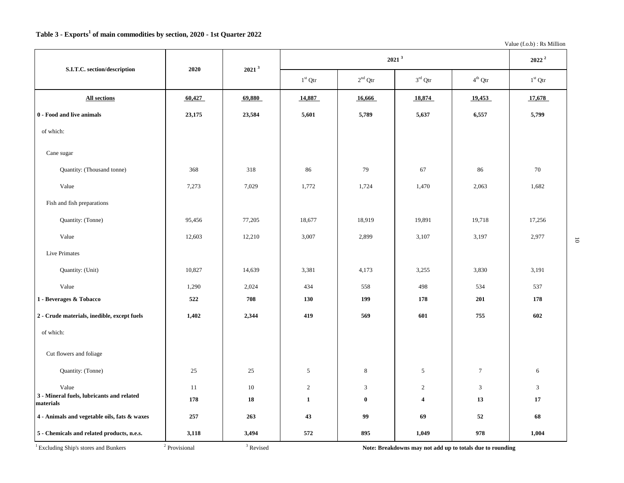Value (f.o.b) : Rs Million

| S.I.T.C. section/description                           | 2020   | 2021 <sup>3</sup> |                | 2021 <sup>3</sup> |                     |                  |                |  |  |
|--------------------------------------------------------|--------|-------------------|----------------|-------------------|---------------------|------------------|----------------|--|--|
|                                                        |        |                   | $1st$ Qtr      | $2nd$ Qtr         | $3^{\text{rd}}$ Qtr | $4^{\rm th}$ Qtr | $1st$ Qtr      |  |  |
| <b>All sections</b>                                    | 60,427 | 69,880            | 14,887         | 16,666            | 18,874              | 19,453           | 17,678         |  |  |
| 0 - Food and live animals                              | 23,175 | 23,584            | 5,601          | 5,789             | 5,637               | 6,557            | 5,799          |  |  |
| of which:                                              |        |                   |                |                   |                     |                  |                |  |  |
| Cane sugar                                             |        |                   |                |                   |                     |                  |                |  |  |
| Quantity: (Thousand tonne)                             | 368    | 318               | 86             | 79                | 67                  | 86               | 70             |  |  |
| Value                                                  | 7,273  | 7,029             | 1,772          | 1,724             | 1,470               | 2,063            | 1,682          |  |  |
| Fish and fish preparations                             |        |                   |                |                   |                     |                  |                |  |  |
| Quantity: (Tonne)                                      | 95,456 | 77,205            | 18,677         | 18,919            | 19,891              | 19,718           | 17,256         |  |  |
| Value                                                  | 12,603 | 12,210            | 3,007          | 2,899             | 3,107               | 3,197            | 2,977          |  |  |
| Live Primates                                          |        |                   |                |                   |                     |                  |                |  |  |
| Quantity: (Unit)                                       | 10,827 | 14,639            | 3,381          | 4,173             | 3,255               | 3,830            | 3,191          |  |  |
| Value                                                  | 1,290  | 2,024             | 434            | 558               | 498                 | 534              | 537            |  |  |
| 1 - Beverages & Tobacco                                | 522    | 708               | 130            | 199               | 178                 | 201              | 178            |  |  |
| 2 - Crude materials, inedible, except fuels            | 1,402  | 2,344             | 419            | 569               | 601                 | 755              | 602            |  |  |
| of which:                                              |        |                   |                |                   |                     |                  |                |  |  |
| Cut flowers and foliage                                |        |                   |                |                   |                     |                  |                |  |  |
| Quantity: (Tonne)                                      | 25     | 25                | $\mathfrak{S}$ | $\,8\,$           | $\mathfrak{S}$      | $\tau$           | 6              |  |  |
| Value                                                  | 11     | 10                | 2              | 3                 | 2                   | $\mathfrak{Z}$   | $\mathfrak{Z}$ |  |  |
| 3 - Mineral fuels, lubricants and related<br>materials | 178    | 18                | $\mathbf{1}$   | $\bf{0}$          | $\overline{4}$      | 13               | 17             |  |  |
| 4 - Animals and vegetable oils, fats & waxes           | 257    | 263               | 43             | 99                | 69                  | 52               | 68             |  |  |
| 5 - Chemicals and related products, n.e.s.             | 3,118  | 3,494             | 572            | 895               | 1,049               | 978              | 1,004          |  |  |

 $1$  Excluding Ship's stores and Bunkers

Note: Breakdowns may not add up to totals due to rounding

 $\overline{\text{o}}$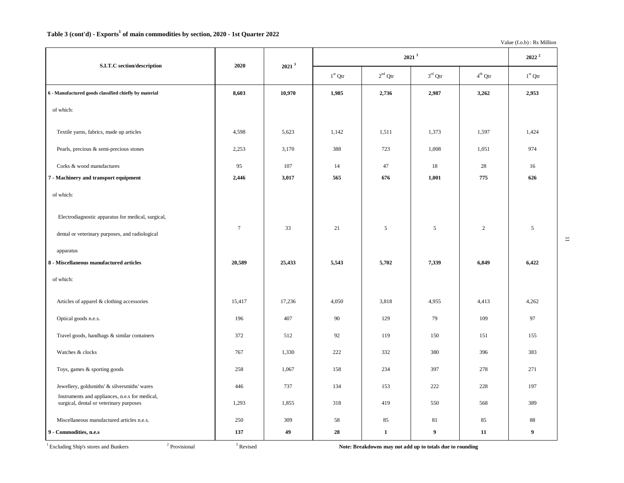### **Table 3 (cont'd) - Exports<sup>1</sup> of main commodities by section, 2020 - 1st Quarter 2022**

Value (f.o.b) : Rs Million

| S.I.T.C section/description                                                                           | 2020   | 2021 <sup>3</sup> |           |              | $2022$ $^2$         |            |                  |
|-------------------------------------------------------------------------------------------------------|--------|-------------------|-----------|--------------|---------------------|------------|------------------|
|                                                                                                       |        |                   | $1st$ Qtr | $2nd$ Qtr    | $3^{\text{rd}}$ Qtr | $4th$ Otr  | $1st$ Qtr        |
| 6 - Manufactured goods classified chiefly by material                                                 | 8,603  | 10,970            | 1,985     | 2,736        | 2,987               | 3,262      | 2,953            |
| of which:                                                                                             |        |                   |           |              |                     |            |                  |
| Textile yarns, fabrics, made up articles                                                              | 4,598  | 5,623             | 1,142     | 1,511        | 1,373               | 1,597      | 1,424            |
| Pearls, precious & semi-precious stones                                                               | 2,253  | 3,170             | 388       | 723          | 1,008               | 1,051      | 974              |
| Corks & wood manufactures                                                                             | 95     | 107               | 14        | 47           | $18\,$              | 28         | 16               |
| 7 - Machinery and transport equipment                                                                 | 2,446  | 3,017             | 565       | 676          | 1,001               | 775        | 626              |
| of which:                                                                                             |        |                   |           |              |                     |            |                  |
| Electrodiagnostic apparatus for medical, surgical,<br>dental or veterinary purposes, and radiological | $\tau$ | 33                | 21        | 5            | $\mathfrak{S}$      | $\sqrt{2}$ | 5                |
| apparatus                                                                                             |        |                   |           |              |                     |            |                  |
| 8 - Miscellaneous manufactured articles                                                               | 20,589 | 25,433            | 5,543     | 5,702        | 7,339               | 6,849      | 6,422            |
| of which:                                                                                             |        |                   |           |              |                     |            |                  |
| Articles of apparel & clothing accessories                                                            | 15,417 | 17,236            | 4,050     | 3,818        | 4,955               | 4,413      | 4,262            |
| Optical goods n.e.s.                                                                                  | 196    | 407               | 90        | 129          | 79                  | 109        | 97               |
| Travel goods, handbags & similar containers                                                           | 372    | 512               | 92        | 119          | 150                 | 151        | 155              |
| Watches & clocks                                                                                      | 767    | 1,330             | 222       | 332          | 380                 | 396        | 383              |
| Toys, games & sporting goods                                                                          | 258    | 1,067             | 158       | 234          | 397                 | 278        | 271              |
| Jewellery, goldsmiths' & silversmiths' wares                                                          | 446    | 737               | 134       | 153          | 222                 | 228        | 197              |
| Instruments and appliances, n.e.s for medical,<br>surgical, dental or veterinary purposes             | 1,293  | 1,855             | 318       | 419          | 550                 | 568        | 389              |
| Miscellaneous manufactured articles n.e.s.                                                            | 250    | 309               | 58        | 85           | 81                  | 85         | 88               |
| 9 - Commodities, n.e.s                                                                                | 137    | 49                | 28        | $\mathbf{1}$ | 9                   | 11         | $\boldsymbol{9}$ |

 $1$  Excluding Ship's stores and Bunkers  $2$  Provisional  $3$  Revised

Note: Breakdowns may not add up to totals due to rounding

 $\Xi$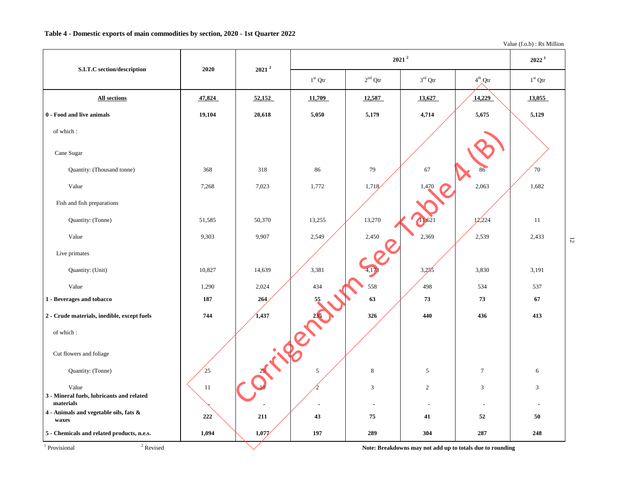Value (f.o.b) : Rs Million

|                                                                 |         | $2021^2$ |            |           | $2021^2$                                                  |                     | $2022^1$       |                |
|-----------------------------------------------------------------|---------|----------|------------|-----------|-----------------------------------------------------------|---------------------|----------------|----------------|
| S.I.T.C section/description                                     | 2020    |          | $1st$ Qtr  | $2nd$ Qtr | $3^{\text{rd}}$ Qtr                                       | $4^{\text{th}}$ Qtr | $1st$ Qtr      |                |
| <b>All sections</b>                                             | 47,824  | 52,152   | 11,709     | 12,587    | 13,627                                                    | 14,229              | 13,055         |                |
| 0 - Food and live animals                                       | 19,104  | 20,618   | 5,050      | 5,179     | 4,714                                                     | 5,675               | 5,129          |                |
| of which:                                                       |         |          |            |           |                                                           |                     |                |                |
| Cane Sugar                                                      |         |          |            |           |                                                           |                     |                |                |
| Quantity: (Thousand tonne)                                      | 368     | 318      | 86         | 79        | 67                                                        | 86                  | 70             |                |
| Value                                                           | 7,268   | 7,023    | 1,772      | 1,718     | 1,470                                                     | 2,063               | 1,682          |                |
| Fish and fish preparations                                      |         |          |            |           |                                                           |                     |                |                |
| Quantity: (Tonne)                                               | 51,585  | 50,370   | 13,255     | 13,270    |                                                           | 12,224              | 11             |                |
| Value                                                           | 9,303   | 9,907    | 2,549      | 2,450     | 2,369                                                     | 2,539               | 2,433          | $\overline{5}$ |
| Live primates                                                   |         |          |            |           |                                                           |                     |                |                |
| Quantity: (Unit)                                                | 10,827  | 14,639   | 3,381      |           | 3,285                                                     | 3,830               | 3,191          |                |
| Value                                                           | 1,290   | 2,024    | 434        | 558       | 498                                                       | 534                 | 537            |                |
| 1 - Beverages and tobacco                                       | 187     | 264      | 55         | 63        | 73                                                        | 73                  | 67             |                |
| 2 - Crude materials, inedible, except fuels                     | 744     | 1,437    | 235        | 326       | 440                                                       | 436                 | 413            |                |
| of which:                                                       |         |          |            |           |                                                           |                     |                |                |
| Cut flowers and foliage                                         |         |          |            |           |                                                           |                     |                |                |
| Quantity: (Tonne)                                               | 25      |          | $\sqrt{5}$ | $\,8\,$   | 5                                                         | $\overline{7}$      | 6              |                |
| Value<br>3 - Mineral fuels, lubricants and related<br>materials | 11      |          |            | 3         | $\overline{c}$                                            | 3                   | $\mathfrak{Z}$ |                |
| $4$ - Animals and vegetable oils, fats<br>$\&$<br>waxes         | $222\,$ | 211      | 43         | 75        | 41                                                        | 52                  | 50             |                |
| 5 - Chemicals and related products, n.e.s.                      | 1,094   | 1,077    | 197        | 289       | 304                                                       | 287                 | 248            |                |
| $^{\rm 2}$ Revised<br><sup>1</sup> Provisional                  |         |          |            |           | Note: Breakdowns may not add up to totals due to rounding |                     |                |                |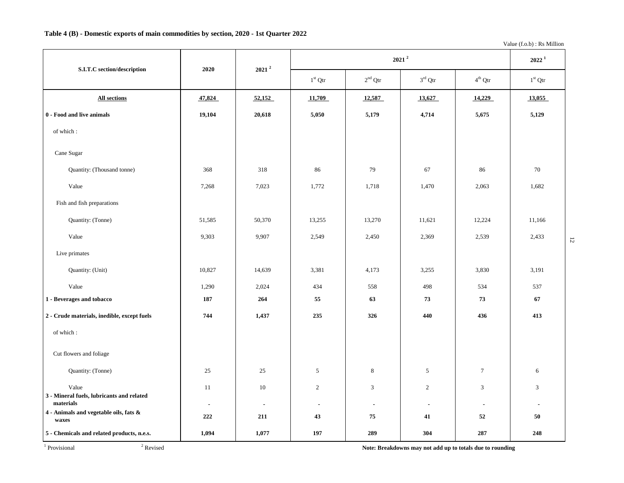Value (f.o.b) : Rs Million

| S.I.T.C section/description                            | 2020           | $2021^2$       |                          | $2022^1$              |                  |                  |                |
|--------------------------------------------------------|----------------|----------------|--------------------------|-----------------------|------------------|------------------|----------------|
|                                                        |                |                | $1^{\rm st}$ Qtr         | $2nd$ Qtr             | $3^{\rm rd}$ Qtr | $4^{\rm th}$ Qtr | $1st$ Qtr      |
| <b>All sections</b>                                    | 47,824         | 52,152         | 11,709                   | 12,587                | 13,627           | 14,229           | 13,055         |
| 0 - Food and live animals                              | 19,104         | 20,618         | 5,050                    | 5,179                 | 4,714            | 5,675            | 5,129          |
| of which:                                              |                |                |                          |                       |                  |                  |                |
| Cane Sugar                                             |                |                |                          |                       |                  |                  |                |
| Quantity: (Thousand tonne)                             | 368            | 318            | 86                       | 79                    | 67               | 86               | 70             |
| Value                                                  | 7,268          | 7,023          | 1,772                    | 1,718                 | 1,470            | 2,063            | 1,682          |
| Fish and fish preparations                             |                |                |                          |                       |                  |                  |                |
| Quantity: (Tonne)                                      | 51,585         | 50,370         | 13,255                   | 13,270                | 11,621           | 12,224           | 11,166         |
| Value                                                  | 9,303          | 9,907          | 2,549                    | 2,450                 | 2,369            | 2,539            | 2,433          |
| Live primates                                          |                |                |                          |                       |                  |                  |                |
| Quantity: (Unit)                                       | 10,827         | 14,639         | 3,381                    | 4,173                 | 3,255            | 3,830            | 3,191          |
| Value                                                  | 1,290          | 2,024          | 434                      | 558                   | 498              | 534              | 537            |
| 1 - Beverages and tobacco                              | 187            | 264            | 55                       | 63                    | 73               | 73               | 67             |
| 2 - Crude materials, inedible, except fuels            | 744            | 1,437          | 235                      | 326                   | 440              | 436              | 413            |
| of which:                                              |                |                |                          |                       |                  |                  |                |
| Cut flowers and foliage                                |                |                |                          |                       |                  |                  |                |
| Quantity: (Tonne)                                      | 25             | 25             | $\mathfrak{S}$           | 8                     | 5                | $\boldsymbol{7}$ | 6              |
| Value                                                  | 11             | 10             | $\overline{2}$           | 3                     | $\overline{2}$   | $\mathfrak{Z}$   | 3              |
| 3 - Mineral fuels, lubricants and related<br>materials | $\blacksquare$ | $\blacksquare$ | $\overline{\phantom{a}}$ | $\tilde{\phantom{a}}$ | $\blacksquare$   | $\blacksquare$   | $\blacksquare$ |
| 4 - Animals and vegetable oils, fats &<br>waxes        | 222            | 211            | 43                       | 75                    | 41               | 52               | 50             |
| 5 - Chemicals and related products, n.e.s.             | 1,094          | 1,077          | 197                      | 289                   | 304              | 287              | 248            |

<sup>1</sup> Provisional <sup>2</sup>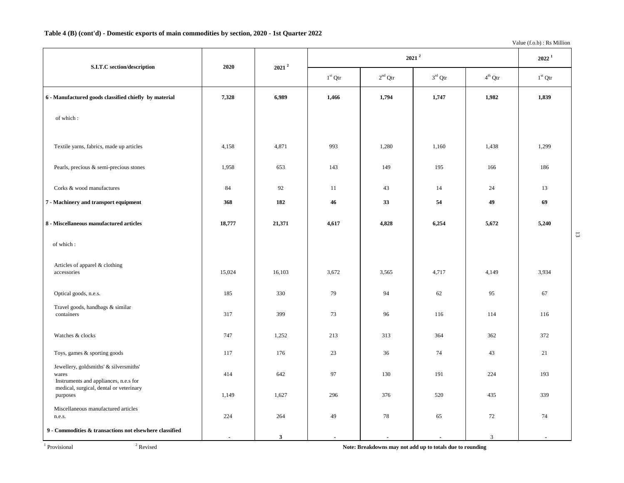## **Table 4 (B) (cont'd) - Domestic exports of main commodities by section, 2020 - 1st Quarter 2022**

Value (f.o.b) : Rs Million

| S.I.T.C section/description                                                                                                         | 2020   | $2021^2$     |                | $2021$ <sup>2</sup> |                          |                |                  |                |
|-------------------------------------------------------------------------------------------------------------------------------------|--------|--------------|----------------|---------------------|--------------------------|----------------|------------------|----------------|
|                                                                                                                                     |        |              | $1st$ Qtr      | $2^{\rm nd}$ Qtr    | $3^{\rm rd}$ Qtr         | $4^{th}$ Qtr   | $1^{\rm st}$ Qtr |                |
| 6 - Manufactured goods classified chiefly by material                                                                               | 7,328  | 6,989        | 1,466          | 1,794               | 1,747                    | 1,982          | 1,839            |                |
| of which:                                                                                                                           |        |              |                |                     |                          |                |                  |                |
| Textile yarns, fabrics, made up articles                                                                                            | 4,158  | 4,871        | 993            | 1,280               | 1,160                    | 1,438          | 1,299            |                |
| Pearls, precious & semi-precious stones                                                                                             | 1,958  | 653          | 143            | 149                 | 195                      | 166            | 186              |                |
| Corks & wood manufactures                                                                                                           | 84     | 92           | 11             | 43                  | 14                       | 24             | 13               |                |
| 7 - Machinery and transport equipment                                                                                               | 368    | 182          | 46             | 33                  | 54                       | 49             | 69               |                |
| 8 - Miscellaneous manufactured articles                                                                                             | 18,777 | 21,371       | 4,617          | 4,828               | 6,254                    | 5,672          | 5,240            |                |
| of which:                                                                                                                           |        |              |                |                     |                          |                |                  | $\overline{3}$ |
| Articles of apparel & clothing<br>accessories                                                                                       | 15,024 | 16,103       | 3,672          | 3,565               | 4,717                    | 4,149          | 3,934            |                |
| Optical goods, n.e.s.                                                                                                               | 185    | 330          | 79             | 94                  | 62                       | 95             | 67               |                |
| Travel goods, handbags & similar<br>containers                                                                                      | 317    | 399          | 73             | 96                  | 116                      | 114            | 116              |                |
| Watches & clocks                                                                                                                    | 747    | 1,252        | 213            | 313                 | 364                      | 362            | 372              |                |
| Toys, games & sporting goods                                                                                                        | 117    | 176          | 23             | 36                  | 74                       | 43             | 21               |                |
| Jewellery, goldsmiths' & silversmiths'<br>wares<br>Instruments and appliances, n.e.s for<br>medical, surgical, dental or veterinary | 414    | 642          | 97             | 130                 | 191                      | 224            | 193              |                |
| purposes                                                                                                                            | 1,149  | 1,627        | 296            | 376                 | 520                      | 435            | 339              |                |
| Miscellaneous manufactured articles<br>n.e.s.                                                                                       | 224    | 264          | 49             | 78                  | 65                       | 72             | 74               |                |
| 9 - Commodities & transactions not elsewhere classified                                                                             |        | $\mathbf{3}$ | $\overline{a}$ |                     | $\overline{\phantom{a}}$ | $\mathfrak{Z}$ |                  |                |

Revised **Note: Breakdowns may not add up to totals due to rounding**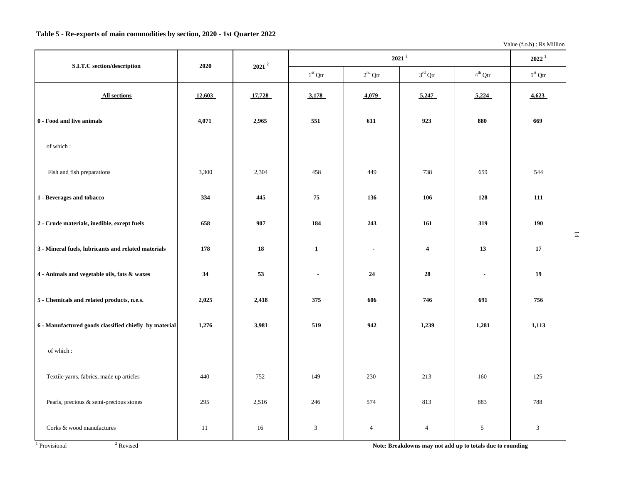Value (f.o.b) : Rs Million

| S.I.T.C section/description                           | 2020   | $2021$ <sup>2</sup> |                |                  | $2021$ <sup>2</sup> |                  | $2022^1$  |
|-------------------------------------------------------|--------|---------------------|----------------|------------------|---------------------|------------------|-----------|
|                                                       |        |                     | $1st$ Qtr      | $2^{\rm nd}$ Qtr | $3rd$ Qtr           | $4^{\rm th}$ Qtr | $1st$ Qtr |
| <b>All sections</b>                                   | 12,603 | 17,728              | 3,178          | 4,079            | 5,247               | 5,224            | 4,623     |
| ${\bf 0}$ - Food and live animals                     | 4,071  | 2,965               | 551            | 611              | 923                 | 880              | 669       |
| of which:                                             |        |                     |                |                  |                     |                  |           |
| Fish and fish preparations                            | 3,300  | 2,304               | 458            | 449              | 738                 | 659              | 544       |
| 1 - Beverages and tobacco                             | 334    | 445                 | 75             | 136              | 106                 | 128              | 111       |
| 2 - Crude materials, inedible, except fuels           | 658    | 907                 | 184            | 243              | 161                 | 319              | 190       |
| 3 - Mineral fuels, lubricants and related materials   | 178    | 18                  | $\mathbf{1}$   | $\blacksquare$   | $\overline{4}$      | 13               | 17        |
| 4 - Animals and vegetable oils, fats & waxes          | 34     | 53                  | $\blacksquare$ | 24               | 28                  | $\blacksquare$   | 19        |
| 5 - Chemicals and related products, n.e.s.            | 2,025  | 2,418               | 375            | 606              | 746                 | 691              | 756       |
| 6 - Manufactured goods classified chiefly by material | 1,276  | 3,981               | 519            | 942              | 1,239               | 1,281            | 1,113     |
| of which:                                             |        |                     |                |                  |                     |                  |           |
| Textile yarns, fabrics, made up articles              | 440    | 752                 | 149            | 230              | 213                 | 160              | 125       |
| Pearls, precious & semi-precious stones               | 295    | 2,516               | 246            | 574              | 813                 | 883              | 788       |
| Corks & wood manufactures                             | 11     | 16                  | 3              | $\overline{4}$   | $\overline{4}$      | $\sqrt{5}$       | 3         |

Revised **Note: Breakdowns may not add up to totals due to rounding**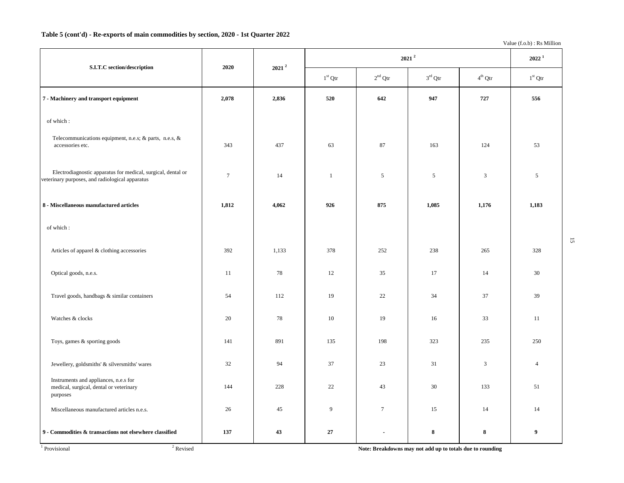### **Table 5 (cont'd) - Re-exports of main commodities by section, 2020 - 1st Quarter 2022**

Value (f.o.b) : Rs Million

15

|                                                                                                                 | 2020           | $\,$ 2021 $^{2}$ |              |           | 2022 <sup>1</sup> |                  |                  |
|-----------------------------------------------------------------------------------------------------------------|----------------|------------------|--------------|-----------|-------------------|------------------|------------------|
| S.I.T.C section/description                                                                                     |                |                  | $1st$ Qtr    | $2nd$ Qtr | $3^{\rm rd}$ Qtr  | $4^{\rm th}$ Qtr | $1st$ Qtr        |
| 7 - Machinery and transport equipment                                                                           | 2,078          | 2,836            | 520          | 642       | 947               | 727              | 556              |
| of which:                                                                                                       |                |                  |              |           |                   |                  |                  |
| Telecommunications equipment, n.e.s; & parts, n.e.s, &<br>accessories etc.                                      | 343            | 437              | 63           | 87        | 163               | 124              | 53               |
| Electrodiagnostic apparatus for medical, surgical, dental or<br>veterinary purposes, and radiological apparatus | $\overline{7}$ | 14               | $\mathbf{1}$ | 5         | $\sqrt{5}$        | 3                | $\mathfrak{I}$   |
| 8 - Miscellaneous manufactured articles                                                                         | 1,812          | 4,062            | 926          | 875       | 1,085             | 1,176            | 1,183            |
| of which:                                                                                                       |                |                  |              |           |                   |                  |                  |
| Articles of apparel & clothing accessories                                                                      | 392            | 1,133            | 378          | 252       | 238               | 265              | 328              |
| Optical goods, n.e.s.                                                                                           | 11             | 78               | 12           | 35        | 17                | 14               | 30               |
| Travel goods, handbags & similar containers                                                                     | 54             | 112              | 19           | 22        | 34                | 37               | 39               |
| Watches & clocks                                                                                                | 20             | 78               | 10           | 19        | 16                | 33               | 11               |
| Toys, games & sporting goods                                                                                    | 141            | 891              | 135          | 198       | 323               | 235              | 250              |
| Jewellery, goldsmiths' & silversmiths' wares                                                                    | 32             | 94               | 37           | 23        | 31                | 3                | $\overline{4}$   |
| Instruments and appliances, n.e.s for<br>medical, surgical, dental or veterinary<br>purposes                    | 144            | 228              | 22           | 43        | 30                | 133              | 51               |
| Miscellaneous manufactured articles n.e.s.                                                                      | 26             | 45               | 9            | $\tau$    | 15                | 14               | 14               |
| 9 - Commodities & transactions not elsewhere classified                                                         | 137            | 43               | 27           | Ĭ.        | 8                 | $\bf 8$          | $\boldsymbol{9}$ |

Ē

**Revised 2** Revised **Note: Breakdowns may not add up to totals due to rounding**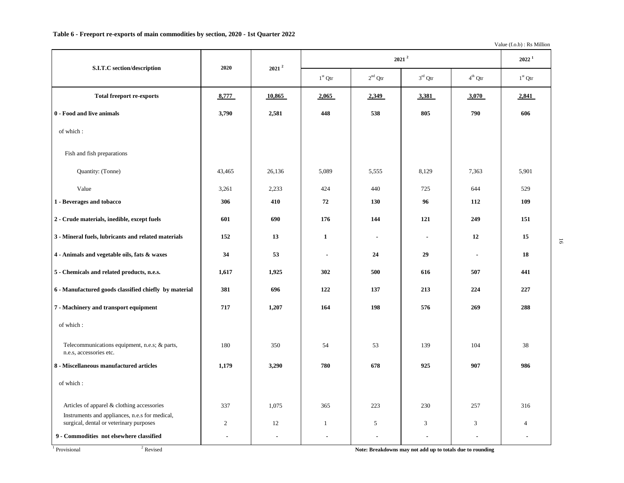Value (f.o.b) : Rs Million

|                                                                                           | 2020           | $2021^2$ |                | $2021^2$       |                |                  |                |  |  |
|-------------------------------------------------------------------------------------------|----------------|----------|----------------|----------------|----------------|------------------|----------------|--|--|
| S.I.T.C section/description                                                               |                |          | $1st$ Qtr      | $2nd$ Qtr      | $3rd$ Qtr      | $4^{\rm th}$ Qtr | $1st$ Qtr      |  |  |
| <b>Total freeport re-exports</b>                                                          | 8,777          | 10,865   | 2,065          | 2,349          | 3,381          | 3,070            | 2,841          |  |  |
| 0 - Food and live animals                                                                 | 3,790          | 2,581    | 448            | 538            | 805            | 790              | 606            |  |  |
| of which:                                                                                 |                |          |                |                |                |                  |                |  |  |
| Fish and fish preparations                                                                |                |          |                |                |                |                  |                |  |  |
| Quantity: (Tonne)                                                                         | 43,465         | 26,136   | 5,089          | 5,555          | 8,129          | 7,363            | 5,901          |  |  |
| Value                                                                                     | 3,261          | 2,233    | 424            | 440            | 725            | 644              | 529            |  |  |
| 1 - Beverages and tobacco                                                                 | 306            | 410      | 72             | 130            | 96             | 112              | 109            |  |  |
| 2 - Crude materials, inedible, except fuels                                               | 601            | 690      | 176            | 144            | 121            | 249              | 151            |  |  |
| 3 - Mineral fuels, lubricants and related materials                                       | 152            | 13       | 1              | $\blacksquare$ | $\blacksquare$ | 12               | 15             |  |  |
| 4 - Animals and vegetable oils, fats & waxes                                              | 34             | 53       | $\blacksquare$ | 24             | 29             | $\blacksquare$   | 18             |  |  |
| 5 - Chemicals and related products, n.e.s.                                                | 1,617          | 1,925    | 302            | 500            | 616            | 507              | 441            |  |  |
| 6 - Manufactured goods classified chiefly by material                                     | 381            | 696      | 122            | 137            | 213            | 224              | 227            |  |  |
| 7 - Machinery and transport equipment                                                     | 717            | 1,207    | 164            | 198            | 576            | 269              | 288            |  |  |
| of which:                                                                                 |                |          |                |                |                |                  |                |  |  |
| Telecommunications equipment, n.e.s; & parts,<br>n.e.s. accessories etc.                  | 180            | 350      | 54             | 53             | 139            | 104              | 38             |  |  |
| 8 - Miscellaneous manufactured articles                                                   | 1,179          | 3,290    | 780            | 678            | 925            | 907              | 986            |  |  |
| of which:                                                                                 |                |          |                |                |                |                  |                |  |  |
| Articles of apparel & clothing accessories                                                | 337            | 1,075    | 365            | 223            | 230            | 257              | 316            |  |  |
| Instruments and appliances, n.e.s for medical,<br>surgical, dental or veterinary purposes | $\mathfrak{2}$ | 12       | 1              | 5              | 3              | 3                | $\overline{4}$ |  |  |
| 9 - Commodities not elsewhere classified                                                  |                | ÷,       | $\blacksquare$ | $\blacksquare$ | ÷,             |                  |                |  |  |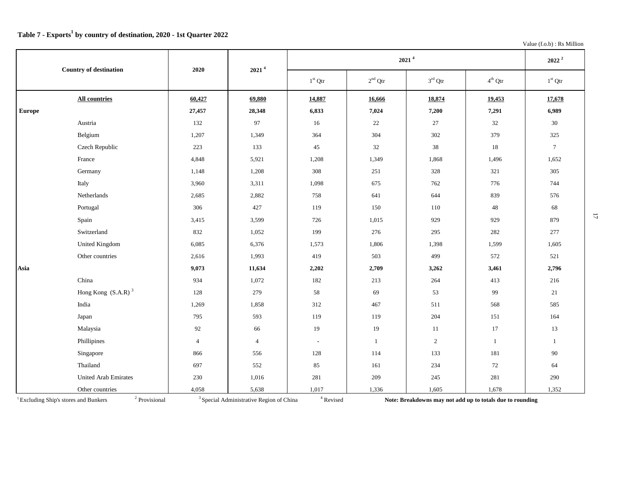|  |  | Value $(f.o.b)$ : Rs Million |
|--|--|------------------------------|
|--|--|------------------------------|

|               | <b>Country of destination</b> | 2020           | 2021 <sup>4</sup> |           | $2022^2$     |                     |                  |                  |
|---------------|-------------------------------|----------------|-------------------|-----------|--------------|---------------------|------------------|------------------|
|               |                               |                |                   | $1st$ Qtr | $2nd$ Qtr    | $3^{\text{rd}}$ Qtr | $4^{\rm th}$ Qtr | $1^{\rm st}$ Qtr |
|               | <b>All countries</b>          | 60,427         | 69,880            | 14,887    | 16,666       | 18,874              | 19,453           | 17,678           |
| <b>Europe</b> |                               | 27,457         | 28,348            | 6,833     | 7,024        | 7,200               | 7,291            | 6,989            |
|               | Austria                       | 132            | 97                | 16        | 22           | 27                  | 32               | 30               |
|               | Belgium                       | 1,207          | 1,349             | 364       | 304          | 302                 | 379              | 325              |
|               | Czech Republic                | 223            | 133               | 45        | 32           | 38                  | 18               | $7\phantom{.0}$  |
|               | France                        | 4,848          | 5,921             | 1,208     | 1,349        | 1,868               | 1,496            | 1,652            |
|               | Germany                       | 1,148          | 1,208             | 308       | 251          | 328                 | 321              | 305              |
|               | Italy                         | 3,960          | 3,311             | 1,098     | 675          | 762                 | 776              | 744              |
|               | Netherlands                   | 2,685          | 2,882             | 758       | 641          | 644                 | 839              | 576              |
|               | Portugal                      | 306            | 427               | 119       | 150          | 110                 | 48               | 68               |
|               | Spain                         | 3,415          | 3,599             | 726       | 1,015        | 929                 | 929              | 879              |
|               | Switzerland                   | 832            | 1,052             | 199       | 276          | 295                 | 282              | 277              |
|               | <b>United Kingdom</b>         | 6,085          | 6,376             | 1,573     | 1,806        | 1,398               | 1,599            | 1,605            |
|               | Other countries               | 2,616          | 1,993             | 419       | 503          | 499                 | 572              | 521              |
| Asia          |                               | 9,073          | 11,634            | 2,202     | 2,709        | 3,262               | 3,461            | 2,796            |
|               | China                         | 934            | 1,072             | 182       | 213          | 264                 | 413              | 216              |
|               | Hong Kong $(S.A.R)^3$         | 128            | 279               | 58        | 69           | 53                  | 99               | 21               |
|               | India                         | 1,269          | 1,858             | 312       | 467          | 511                 | 568              | 585              |
|               | Japan                         | 795            | 593               | 119       | 119          | 204                 | 151              | 164              |
|               | Malaysia                      | 92             | 66                | 19        | 19           | 11                  | 17               | 13               |
|               | Phillipines                   | $\overline{4}$ | $\overline{4}$    | $\sim$    | $\mathbf{1}$ | $\overline{2}$      | $\mathbf{1}$     | 1                |
|               | Singapore                     | 866            | 556               | 128       | 114          | 133                 | 181              | 90               |
|               | Thailand                      | 697            | 552               | 85        | 161          | 234                 | 72               | 64               |
|               | <b>United Arab Emirates</b>   | 230            | 1,016             | 281       | 209          | 245                 | 281              | 290              |
|               | Other countries               | 4,058          | 5,638             | 1,017     | 1,336        | 1,605               | 1,678            | 1,352            |

<sup>1</sup> Excluding Ship's stores and Bunkers <sup>2</sup> Provisional <sup>3</sup> Special Administrative Region of China

<sup>4</sup> Revised

**Note: Breakdowns may not add up to totals due to rounding**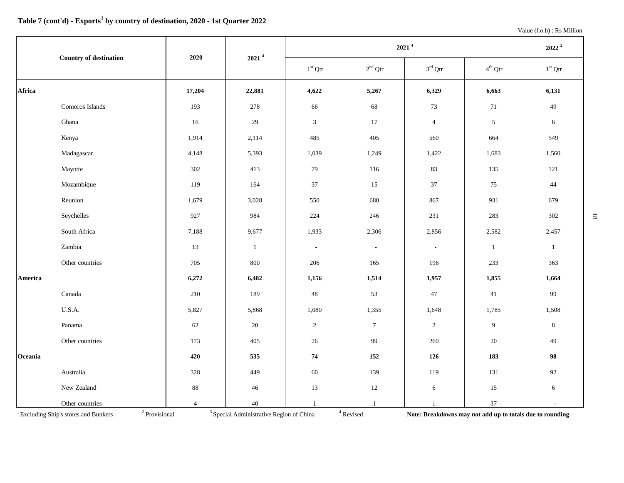|         | <b>Country of destination</b> | 2020           | $2021$ <sup>4</sup> |                | $2022^2$        |                     |                |                 |
|---------|-------------------------------|----------------|---------------------|----------------|-----------------|---------------------|----------------|-----------------|
|         |                               |                |                     | $1st$ Qtr      | $2nd$ Qtr       | $3^{\text{rd}}$ Qtr | $4^{th}$ Qtr   | $1st$ Qtr       |
| Africa  |                               | 17,204         | 22,881              | 4,622          | 5,267           | 6,329               | 6,663          | 6,131           |
|         | Comoros Islands               | 193            | 278                 | 66             | 68              | $73\,$              | $71\,$         | 49              |
|         | Ghana                         | 16             | 29                  | $\mathbf{3}$   | 17              | $\overline{4}$      | $\mathfrak{S}$ | 6               |
|         | Kenya                         | 1,914          | 2,114               | 485            | 405             | 560                 | 664            | 549             |
|         | Madagascar                    | 4,148          | 5,393               | 1,039          | 1,249           | 1,422               | 1,683          | 1,560           |
|         | Mayotte                       | 302            | 413                 | 79             | 116             | 83                  | 135            | 121             |
|         | Mozambique                    | 119            | 164                 | 37             | 15              | 37                  | 75             | 44              |
|         | Reunion                       | 1,679          | 3,028               | 550            | 680             | 867                 | 931            | 679             |
|         | Seychelles                    | 927            | 984                 | 224            | 246             | 231                 | 283            | 302             |
|         | South Africa                  | 7,188          | 9,677               | 1,933          | 2,306           | 2,856               | 2,582          | 2,457           |
|         | Zambia                        | 13             | $\mathbf{1}$        | $\blacksquare$ | $\blacksquare$  | $\blacksquare$      | $\mathbf{1}$   | $\mathbf{1}$    |
|         | Other countries               | 705            | 800                 | 206            | 165             | 196                 | 233            | 363             |
| America |                               | 6,272          | 6,482               | 1,156          | 1,514           | 1,957               | 1,855          | 1,664           |
|         | Canada                        | 210            | 189                 | $48\,$         | 53              | $47\,$              | 41             | 99              |
|         | U.S.A.                        | 5,827          | 5,868               | 1,080          | 1,355           | 1,648               | 1,785          | 1,508           |
|         | Panama                        | 62             | 20                  | $\sqrt{2}$     | $7\phantom{.0}$ | $\mathbf{2}$        | 9              | $8\phantom{.0}$ |
|         | Other countries               | 173            | 405                 | 26             | 99              | 260                 | 20             | 49              |
| Oceania |                               | 420            | 535                 | ${\bf 74}$     | 152             | 126                 | 183            | 98              |
|         | Australia                     | 328            | 449                 | 60             | 139             | 119                 | 131            | 92              |
|         | New Zealand                   | $88\,$         | $46\,$              | 13             | 12              | 6                   | 15             | 6               |
|         | Other countries               | $\overline{4}$ | $40\,$              | $\mathbf{1}$   | $\mathbf{1}$    | $\mathbf{1}$        | 37             | $\blacksquare$  |

<sup>1</sup> Excluding Ship's stores and Bunkers <sup>2</sup> Provisional <sup>3</sup> Special Administrative Region of China

 $^4$ Revised

**Note: Breakdowns may not add up to totals due to rounding**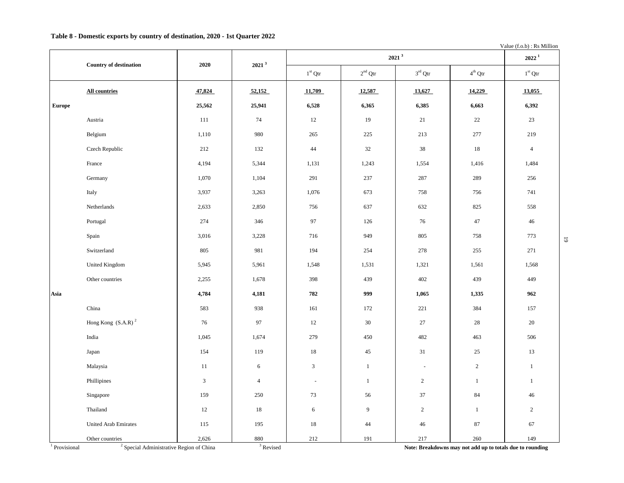### **Table 8 - Domestic exports by country of destination, 2020 - 1st Quarter 2022**

Value (f.o.b) : Rs Million

|               |                                |            |                   |                |              | 2021 <sup>3</sup>        |                  | $2022^1$       |                         |
|---------------|--------------------------------|------------|-------------------|----------------|--------------|--------------------------|------------------|----------------|-------------------------|
|               | <b>Country of destination</b>  | 2020       | 2021 <sup>3</sup> | $1st$ Qtr      | $2nd$ Qtr    | $3^{\text{rd}}$ Qtr      | $4^{\rm th}$ Qtr | $1st$ Qtr      |                         |
|               | <b>All countries</b>           | 47,824     | 52,152            | 11,709         | 12,587       | 13,627                   | 14,229           | 13,055         |                         |
| <b>Europe</b> |                                | 25,562     | 25,941            | 6,528          | 6,365        | 6,385                    | 6,663            | 6,392          |                         |
|               | Austria                        | 111        | 74                | 12             | 19           | 21                       | 22               | 23             |                         |
|               | Belgium                        | 1,110      | 980               | 265            | 225          | 213                      | 277              | 219            |                         |
|               | Czech Republic                 | 212        | 132               | $44\,$         | 32           | 38                       | 18               | $\overline{4}$ |                         |
|               | France                         | 4,194      | 5,344             | 1,131          | 1,243        | 1,554                    | 1,416            | 1,484          |                         |
|               | Germany                        | 1,070      | 1,104             | 291            | 237          | 287                      | 289              | 256            |                         |
|               | Italy                          | 3,937      | 3,263             | 1,076          | 673          | 758                      | 756              | 741            |                         |
|               | Netherlands                    | 2,633      | 2,850             | 756            | 637          | 632                      | 825              | 558            |                         |
|               | Portugal                       | 274        | 346               | 97             | 126          | 76                       | 47               | 46             |                         |
|               | Spain                          | 3,016      | 3,228             | 716            | 949          | 805                      | 758              | 773            | $\overline{\textbf{6}}$ |
|               | Switzerland                    | 805        | 981               | 194            | 254          | 278                      | 255              | 271            |                         |
|               | United Kingdom                 | 5,945      | 5,961             | 1,548          | 1,531        | 1,321                    | 1,561            | 1,568          |                         |
|               | Other countries                | 2,255      | 1,678             | 398            | 439          | 402                      | 439              | 449            |                         |
| Asia          |                                | 4,784      | 4,181             | 782            | 999          | 1,065                    | 1,335            | 962            |                         |
|               | China                          | 583        | 938               | 161            | 172          | 221                      | 384              | 157            |                         |
|               | Hong Kong (S.A.R) <sup>2</sup> | 76         | 97                | 12             | 30           | 27                       | 28               | 20             |                         |
|               | India                          | 1,045      | 1,674             | 279            | 450          | 482                      | 463              | 506            |                         |
|               | Japan                          | 154        | 119               | 18             | 45           | 31                       | 25               | 13             |                         |
|               | Malaysia                       | 11         | 6                 | $\mathbf{3}$   | $\mathbf{1}$ | $\overline{\phantom{a}}$ | $\overline{2}$   | $\mathbf{1}$   |                         |
|               | Phillipines                    | $\sqrt{3}$ | $\overline{4}$    | $\blacksquare$ | $\mathbf{1}$ | $\overline{c}$           | $\mathbf{1}$     | $\mathbf{1}$   |                         |
|               | Singapore                      | 159        | 250               | 73             | 56           | 37                       | 84               | 46             |                         |
|               | Thailand                       | 12         | 18                | 6              | 9            | $\overline{c}$           | $\mathbf{1}$     | $\overline{2}$ |                         |
|               | <b>United Arab Emirates</b>    | 115        | 195               | 18             | 44           | 46                       | 87               | 67             |                         |
|               | Other countries                | 2,626      | 880               | 212            | 191          | 217                      | 260              | 149            |                         |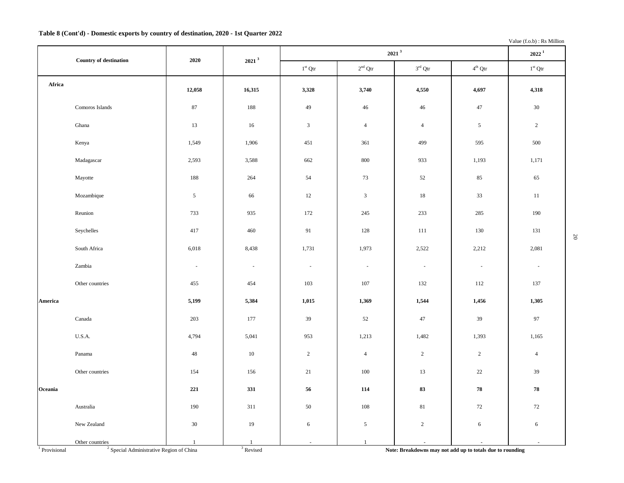### **Table 8 (Cont'd) - Domestic exports by country of destination, 2020 - 1st Quarter 2022**

Value (f.o.b) : Rs Million

|                            |                                                                        | 2020           | 2021 <sup>3</sup>        |                          | $2022^1$                 |                          |                                                           |                          |
|----------------------------|------------------------------------------------------------------------|----------------|--------------------------|--------------------------|--------------------------|--------------------------|-----------------------------------------------------------|--------------------------|
|                            | <b>Country of destination</b>                                          |                |                          | $1^{\rm st}$ Qtr         | $2^{\rm nd}$ Qtr         | $3^{\rm rd}$ Qtr         | $4^{\rm th}$ Qtr                                          | $1st$ Qtr                |
| Africa                     |                                                                        | 12,058         | 16,315                   | 3,328                    | 3,740                    | 4,550                    | 4,697                                                     | 4,318                    |
|                            | Comoros Islands                                                        | 87             | 188                      | 49                       | 46                       | 46                       | 47                                                        | 30                       |
|                            | Ghana                                                                  | 13             | 16                       | $\mathfrak{Z}$           | $\overline{4}$           | $\overline{4}$           | $\sqrt{5}$                                                | $\overline{2}$           |
|                            | Kenya                                                                  | 1,549          | 1,906                    | 451                      | 361                      | 499                      | 595                                                       | 500                      |
|                            | Madagascar                                                             | 2,593          | 3,588                    | 662                      | 800                      | 933                      | 1,193                                                     | 1,171                    |
|                            | Mayotte                                                                | 188            | 264                      | 54                       | 73                       | 52                       | 85                                                        | 65                       |
|                            | Mozambique                                                             | $\mathfrak{S}$ | 66                       | 12                       | $\mathfrak{Z}$           | 18                       | 33                                                        | 11                       |
|                            | Reunion                                                                | 733            | 935                      | 172                      | 245                      | 233                      | 285                                                       | 190                      |
|                            | Seychelles                                                             | 417            | 460                      | 91                       | 128                      | 111                      | 130                                                       | 131                      |
|                            | South Africa                                                           | 6,018          | 8,438                    | 1,731                    | 1,973                    | 2,522                    | 2,212                                                     | 2,081                    |
|                            | Zambia                                                                 | $\sim$         | $\overline{\phantom{a}}$ | $\overline{\phantom{a}}$ | $\overline{\phantom{a}}$ | $\overline{\phantom{a}}$ | $\overline{\phantom{a}}$                                  | $\overline{\phantom{a}}$ |
|                            | Other countries                                                        | 455            | 454                      | 103                      | 107                      | 132                      | 112                                                       | 137                      |
| America                    |                                                                        | 5,199          | 5,384                    | 1,015                    | 1,369                    | 1,544                    | 1,456                                                     | 1,305                    |
|                            | $\mathop{\mathrm{Canada}}$                                             | 203            | 177                      | 39                       | 52                       | 47                       | 39                                                        | 97                       |
|                            | U.S.A.                                                                 | 4,794          | 5,041                    | 953                      | 1,213                    | 1,482                    | 1,393                                                     | 1,165                    |
|                            | Panama                                                                 | 48             | 10                       | $\overline{c}$           | $\overline{4}$           | $\overline{2}$           | $\overline{2}$                                            | $\overline{4}$           |
|                            | Other countries                                                        | 154            | 156                      | 21                       | $100\,$                  | 13                       | 22                                                        | $39\,$                   |
| Oceania                    |                                                                        | 221            | 331                      | 56                       | 114                      | 83                       | 78                                                        | 78                       |
|                            | Australia                                                              | 190            | 311                      | 50                       | 108                      | 81                       | 72                                                        | $72\,$                   |
|                            | New Zealand                                                            | 30             | 19                       | 6                        | $\mathfrak{S}$           | $\sqrt{2}$               | 6                                                         | 6                        |
| $\overline{1}$ Provisional | Other countries<br><sup>2</sup> Special Administrative Region of China | $\mathbf{1}$   | 1<br>$3$ Revised         | $\sim$                   | $\mathbf{1}$             |                          | Note: Breakdowns may not add up to totals due to rounding | $\omega$                 |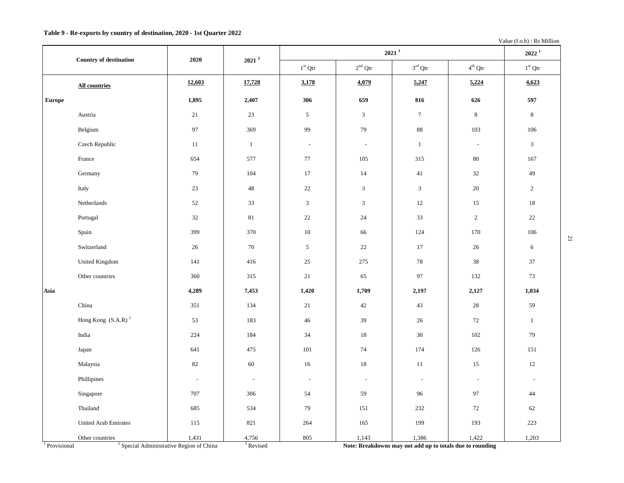Value (f.o.b) : Rs Million

|                          | Country of destination      | 2020                                                         | 2021 <sup>3</sup>        |                          | $2022^1$                 |                                                                    |                          |                          |
|--------------------------|-----------------------------|--------------------------------------------------------------|--------------------------|--------------------------|--------------------------|--------------------------------------------------------------------|--------------------------|--------------------------|
|                          |                             |                                                              |                          | $1^{\rm st}$ Qtr         | $2^{\rm nd}$ Qtr         | $3^{\rm rd}$ Qtr                                                   | $4^{\rm th}$ Qtr         | $1^{\rm st}$ Qtr         |
|                          | All countries               | 12,603                                                       | 17,728                   | 3,178                    | 4,079                    | 5,247                                                              | 5,224                    | 4,623                    |
| <b>Europe</b>            |                             | 1,895                                                        | 2,407                    | 306                      | 659                      | 816                                                                | 626                      | 597                      |
|                          | Austria                     | 21                                                           | 23                       | $\mathfrak{S}$           | $\mathfrak{Z}$           | $\boldsymbol{7}$                                                   | $\,8\,$                  | $\bf 8$                  |
|                          | Belgium                     | $\mathbf{97}$                                                | 369                      | 99                       | 79                       | 88                                                                 | 103                      | 106                      |
|                          | Czech Republic              | 11                                                           | $\mathbf{1}$             | $\sim$                   | $\blacksquare$           | $\mathbf{1}$                                                       | $\overline{\phantom{a}}$ | $\overline{3}$           |
|                          | France                      | 654                                                          | 577                      | 77                       | 105                      | 315                                                                | 80                       | 167                      |
|                          | Germany                     | 79                                                           | 104                      | 17                       | 14                       | 41                                                                 | 32                       | 49                       |
|                          | Italy                       | 23                                                           | 48                       | 22                       | $\sqrt{3}$               | $\sqrt{3}$                                                         | 20                       | $\sqrt{2}$               |
|                          | Netherlands                 | 52                                                           | 33                       | 3                        | $\sqrt{3}$               | 12                                                                 | 15                       | $18\,$                   |
|                          | Portugal                    | 32                                                           | 81                       | 22                       | 24                       | 33                                                                 | $\overline{c}$           | 22                       |
|                          | Spain                       | 399                                                          | 370                      | 10                       | 66                       | 124                                                                | 170                      | 106                      |
|                          | Switzerland                 | $26\,$                                                       | $70\,$                   | $\sqrt{5}$               | 22                       | 17                                                                 | $26\,$                   | $\sqrt{6}$               |
|                          | <b>United Kingdom</b>       | 141                                                          | 416                      | 25                       | 275                      | 78                                                                 | 38                       | 37                       |
|                          | Other countries             | 360                                                          | 315                      | 21                       | 65                       | 97                                                                 | 132                      | 73                       |
| Asia                     |                             | 4,289                                                        | 7,453                    | 1,420                    | 1,709                    | 2,197                                                              | 2,127                    | 1,834                    |
|                          | China                       | 351                                                          | 134                      | 21                       | 42                       | 43                                                                 | $28\,$                   | 59                       |
|                          | Hong Kong $(S.A.R)^2$       | 53                                                           | 183                      | 46                       | 39                       | 26                                                                 | 72                       | $\mathbf{1}$             |
|                          | India                       | 224                                                          | 184                      | 34                       | $18\,$                   | 30                                                                 | 102                      | 79                       |
|                          | Japan                       | 641                                                          | 475                      | 101                      | $74\,$                   | 174                                                                | 126                      | 151                      |
|                          | Malaysia                    | 82                                                           | 60                       | $16\,$                   | $18\,$                   | $11\,$                                                             | 15                       | $12\,$                   |
|                          | Phillipines                 | $\overline{\phantom{a}}$                                     | $\overline{\phantom{a}}$ | $\overline{\phantom{a}}$ | $\overline{\phantom{a}}$ | $\blacksquare$                                                     | $\overline{\phantom{a}}$ | $\overline{\phantom{a}}$ |
|                          | Singapore                   | 707                                                          | 306                      | 54                       | 59                       | 96                                                                 | 97                       | 44                       |
|                          | Thailand                    | 685                                                          | 534                      | 79                       | 151                      | 232                                                                | $72\,$                   | 62                       |
|                          | <b>United Arab Emirates</b> | 115                                                          | 821                      | 264                      | 165                      | 199                                                                | 193                      | 223                      |
|                          | Other countries             | 1,431<br><sup>2</sup> Special Administrative Region of China | 4,756<br>$3$ Revised     | 805                      | 1,143                    | 1,386<br>Note: Breakdowns may not add up to totals due to rounding | 1,422                    | 1,203                    |
| <sup>1</sup> Provisional |                             |                                                              |                          |                          |                          |                                                                    |                          |                          |

 $\mathbf{r}$ 

Note: Breakdowns may not add up to totals due to rounding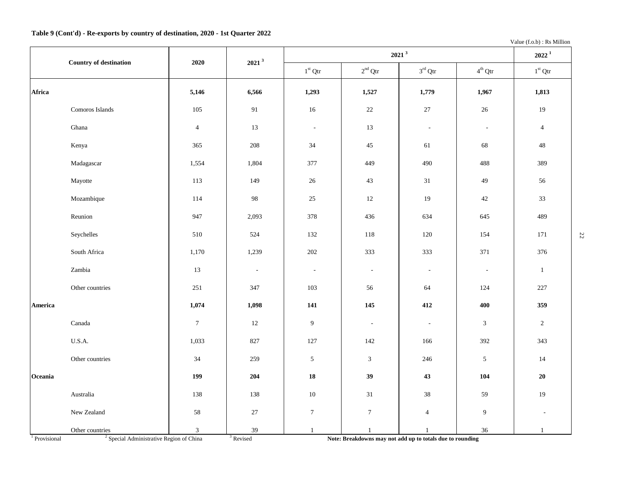Value (f.o.b) : Rs Million

|         | <b>Country of destination</b> | 2020             | 2021 <sup>3</sup>        |                          | $2022^1$                 |                          |                          |                |
|---------|-------------------------------|------------------|--------------------------|--------------------------|--------------------------|--------------------------|--------------------------|----------------|
|         |                               |                  |                          | $1st$ Qtr                | $2^{\rm nd}$ Qtr         | $3^{\text{rd}}$ Qtr      | $4^{\text{th}}$ Qtr      | $1st$ Qtr      |
| Africa  |                               | 5,146            | 6,566                    | 1,293                    | 1,527                    | 1,779                    | 1,967                    | 1,813          |
|         | Comoros Islands               | 105              | 91                       | $16\,$                   | $22\,$                   | $27\,$                   | $26\,$                   | 19             |
|         | Ghana                         | $\overline{4}$   | 13                       | $\mathbb{L}$             | 13                       | $\overline{\phantom{a}}$ | $\overline{\phantom{a}}$ | $\overline{4}$ |
|         | Kenya                         | 365              | 208                      | 34                       | $45\,$                   | 61                       | 68                       | 48             |
|         | Madagascar                    | 1,554            | 1,804                    | 377                      | 449                      | 490                      | 488                      | 389            |
|         | Mayotte                       | 113              | 149                      | 26                       | 43                       | 31                       | 49                       | 56             |
|         | Mozambique                    | 114              | $\mathbf{98}$            | $25\,$                   | $12\,$                   | 19                       | $42\,$                   | 33             |
|         | Reunion                       | 947              | 2,093                    | 378                      | 436                      | 634                      | 645                      | 489            |
|         | Seychelles                    | 510              | 524                      | 132                      | 118                      | 120                      | 154                      | 171            |
|         | South Africa                  | 1,170            | 1,239                    | 202                      | 333                      | 333                      | 371                      | 376            |
|         | Zambia                        | 13               | $\overline{\phantom{a}}$ | $\overline{\phantom{a}}$ | $\overline{\phantom{a}}$ | $\overline{\phantom{a}}$ | $\overline{\phantom{a}}$ | 1              |
|         | Other countries               | 251              | 347                      | 103                      | 56                       | 64                       | 124                      | 227            |
| America |                               | 1,074            | 1,098                    | 141                      | 145                      | 412                      | 400                      | 359            |
|         | Canada                        | $\boldsymbol{7}$ | $12\,$                   | $\overline{9}$           | $\sim$                   | $\overline{\phantom{a}}$ | $\mathfrak{Z}$           | $\overline{2}$ |
|         | U.S.A.                        | 1,033            | 827                      | 127                      | 142                      | 166                      | 392                      | 343            |
|         | Other countries               | 34               | 259                      | $\mathfrak{S}$           | $\mathfrak{Z}$           | 246                      | $\sqrt{5}$               | 14             |
| Oceania |                               | 199              | 204                      | 18                       | 39                       | 43                       | 104                      | 20             |
|         | Australia                     | 138              | 138                      | $10\,$                   | 31                       | 38                       | 59                       | 19             |
|         | New Zealand                   | 58               | 27                       | $\overline{7}$           | $\tau$                   | $\overline{4}$           | 9                        |                |
|         | Other countries               | $\mathfrak{Z}$   | $39\,$                   | $\mathbf{1}$             | $\mathbf{1}$             | $\mathbf{1}$             | $36\,$                   | $\mathbf{1}$   |

<sup>1</sup> Provisional <sup>2</sup>

 $3$  Special Administrative Region of China  $3$  Revised

Note: Breakdowns may not add up to totals due to rounding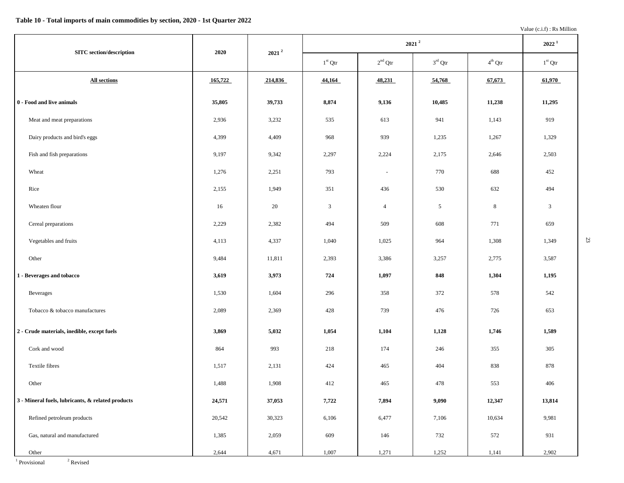|                                                   |         |          |           |                | 2022 <sup>1</sup> |                     |                |
|---------------------------------------------------|---------|----------|-----------|----------------|-------------------|---------------------|----------------|
| <b>SITC</b> section/description                   | 2020    | $2021^2$ | $1st$ Qtr | $2nd$ Qtr      | $3rd$ Qtr         | $4^{\text{th}}$ Qtr | $1st$ Qtr      |
| All sections                                      | 165,722 | 214,836  | 44,164    | 48,231         | 54,768            | 67,673              | 61,970         |
| 0 - Food and live animals                         | 35,805  | 39,733   | 8,874     | 9,136          | 10,485            | 11,238              | 11,295         |
| Meat and meat preparations                        | 2,936   | 3,232    | 535       | 613            | 941               | 1,143               | 919            |
| Dairy products and bird's eggs                    | 4,399   | 4,409    | 968       | 939            | 1,235             | 1,267               | 1,329          |
| Fish and fish preparations                        | 9,197   | 9,342    | 2,297     | 2,224          | 2,175             | 2,646               | 2,503          |
| Wheat                                             | 1,276   | 2,251    | 793       | $\blacksquare$ | 770               | 688                 | 452            |
| Rice                                              | 2,155   | 1,949    | 351       | 436            | 530               | 632                 | 494            |
| Wheaten flour                                     | 16      | 20       | 3         | $\overline{4}$ | $\overline{5}$    | 8                   | $\mathfrak{Z}$ |
| Cereal preparations                               | 2,229   | 2,382    | 494       | 509            | 608               | 771                 | 659            |
| Vegetables and fruits                             | 4,113   | 4,337    | 1,040     | 1,025          | 964               | 1,308               | 1,349          |
| Other                                             | 9,484   | 11,811   | 2,393     | 3,386          | 3,257             | 2,775               | 3,587          |
| 1 - Beverages and tobacco                         | 3,619   | 3,973    | 724       | 1,097          | 848               | 1,304               | 1,195          |
| Beverages                                         | 1,530   | 1,604    | 296       | 358            | 372               | 578                 | 542            |
| Tobacco & tobacco manufactures                    | 2,089   | 2,369    | 428       | 739            | 476               | 726                 | 653            |
| 2 - Crude materials, inedible, except fuels       | 3,869   | 5,032    | 1,054     | 1,104          | 1,128             | 1,746               | 1,589          |
| Cork and wood                                     | 864     | 993      | 218       | 174            | 246               | 355                 | 305            |
| Textile fibres                                    | 1,517   | 2,131    | 424       | 465            | 404               | 838                 | 878            |
| Other                                             | 1,488   | 1,908    | 412       | 465            | 478               | 553                 | 406            |
| 3 - Mineral fuels, lubricants, & related products | 24,571  | 37,053   | 7,722     | 7,894          | 9,090             | 12,347              | 13,814         |
| Refined petroleum products                        | 20,542  | 30,323   | 6,106     | 6,477          | 7,106             | 10,634              | 9,981          |
| Gas, natural and manufactured                     | 1,385   | 2,059    | 609       | 146            | 732               | 572                 | 931            |
| Other                                             | 2,644   | 4,671    | 1,007     | 1,271          | 1,252             | 1,141               | 2,902          |

<sup>1</sup> Provisional<sup>2</sup> <sup>2</sup> Revised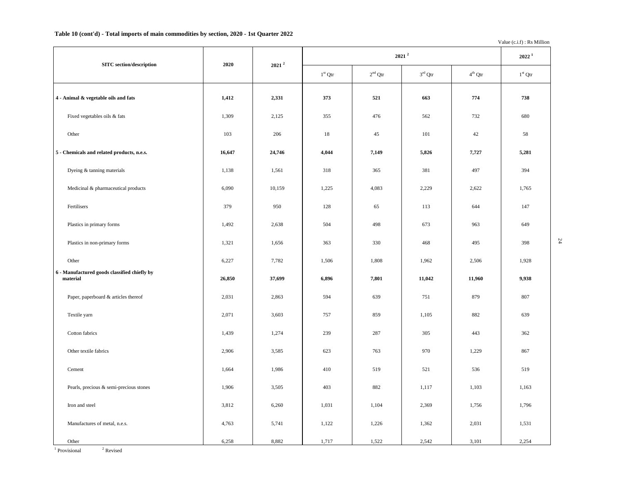### **Table 10 (cont'd) - Total imports of main commodities by section, 2020 - 1st Quarter 2022**

Value (c.i.f) : Rs Million

24

|                                                          |        |          |           | $2022^1$  |           |                  |           |
|----------------------------------------------------------|--------|----------|-----------|-----------|-----------|------------------|-----------|
| <b>SITC</b> section/description                          | 2020   | $2021^2$ | $1st$ Qtr | $2nd$ Qtr | $3rd$ Qtr | $4^{\rm th}$ Qtr | $1st$ Qtr |
| 4 - Animal & vegetable oils and fats                     | 1,412  | 2,331    | 373       | 521       | 663       | 774              | 738       |
| Fixed vegetables oils & fats                             | 1,309  | 2,125    | 355       | 476       | 562       | 732              | 680       |
| Other                                                    | 103    | 206      | $18\,$    | 45        | 101       | 42               | 58        |
| 5 - Chemicals and related products, n.e.s.               | 16,647 | 24,746   | 4,044     | 7,149     | 5,826     | 7,727            | 5,281     |
| Dyeing & tanning materials                               | 1,138  | 1,561    | 318       | 365       | 381       | 497              | 394       |
| Medicinal & pharmaceutical products                      | 6,090  | 10,159   | 1,225     | 4,083     | 2,229     | 2,622            | 1,765     |
| Fertilisers                                              | 379    | 950      | 128       | 65        | 113       | 644              | 147       |
| Plastics in primary forms                                | 1,492  | 2,638    | 504       | 498       | 673       | 963              | 649       |
| Plastics in non-primary forms                            | 1,321  | 1,656    | 363       | 330       | 468       | 495              | 398       |
| Other                                                    | 6,227  | 7,782    | 1,506     | 1,808     | 1,962     | 2,506            | 1,928     |
| 6 - Manufactured goods classified chiefly by<br>material | 26,850 | 37,699   | 6,896     | 7,801     | 11,042    | 11,960           | 9,938     |
| Paper, paperboard & articles thereof                     | 2,031  | 2,863    | 594       | 639       | 751       | 879              | 807       |
| Textile yarn                                             | 2,071  | 3,603    | 757       | 859       | 1,105     | 882              | 639       |
| Cotton fabrics                                           | 1,439  | 1,274    | 239       | 287       | 305       | 443              | 362       |
| Other textile fabrics                                    | 2,906  | 3,585    | 623       | 763       | 970       | 1,229            | 867       |
| Cement                                                   | 1,664  | 1,986    | 410       | 519       | 521       | 536              | 519       |
| Pearls, precious & semi-precious stones                  | 1,906  | 3,505    | 403       | 882       | 1,117     | 1,103            | 1,163     |
| Iron and steel                                           | 3,812  | 6,260    | 1,031     | 1,104     | 2,369     | 1,756            | 1,796     |
| Manufactures of metal, n.e.s.                            | 4,763  | 5,741    | 1,122     | 1,226     | 1,362     | 2,031            | 1,531     |
| Other                                                    | 6,258  | 8,882    | 1,717     | 1,522     | 2,542     | 3,101            | 2,254     |

<sup>1</sup> Provisional <sup>2</sup> <sup>2</sup> Revised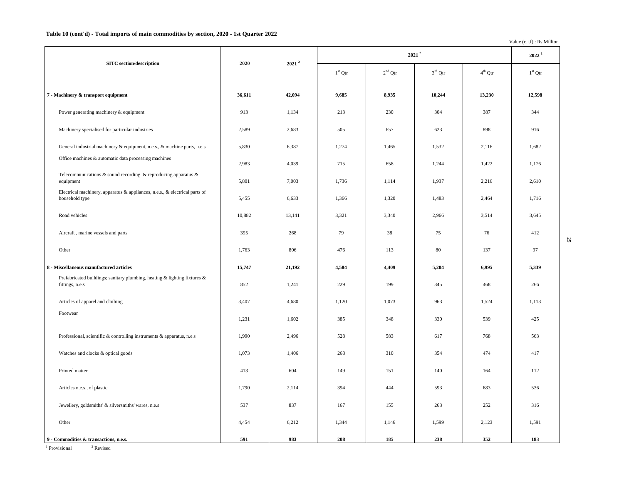#### **Table 10 (cont'd) - Total imports of main commodities by section, 2020 - 1st Quarter 2022**

Value (c.i.f) : Rs Million

25

|                                                                                               |        |          |           |           | $2021^2$  |           | $2022^1$  |
|-----------------------------------------------------------------------------------------------|--------|----------|-----------|-----------|-----------|-----------|-----------|
| <b>SITC</b> section/description                                                               | 2020   | $2021^2$ | $1st$ Qtr | $2nd$ Qtr | $3rd$ Qtr | $4th$ Qtr | $1st$ Qtr |
| 7 - Machinery & transport equipment                                                           | 36,611 | 42,094   | 9,685     | 8,935     | 10,244    | 13,230    | 12,598    |
| Power generating machinery & equipment                                                        | 913    | 1,134    | 213       | 230       | 304       | 387       | 344       |
| Machinery specialised for particular industries                                               | 2,589  | 2,683    | 505       | 657       | 623       | 898       | 916       |
| General industrial machinery & equipment, n.e.s., & machine parts, n.e.s                      | 5,830  | 6,387    | 1,274     | 1,465     | 1,532     | 2,116     | 1,682     |
| Office machines & automatic data processing machines                                          | 2,983  | 4,039    | 715       | 658       | 1,244     | 1,422     | 1,176     |
| Telecommunications $\&$ sound recording $\&$ reproducing apparatus $\&$<br>equipment          | 5,801  | 7,003    | 1,736     | 1,114     | 1,937     | 2,216     | 2,610     |
| Electrical machinery, apparatus & appliances, n.e.s., & electrical parts of<br>household type | 5,455  | 6,633    | 1,366     | 1,320     | 1,483     | 2,464     | 1,716     |
| Road vehicles                                                                                 | 10,882 | 13,141   | 3,321     | 3,340     | 2,966     | 3,514     | 3,645     |
| Aircraft, marine vessels and parts                                                            | 395    | 268      | 79        | 38        | 75        | 76        | 412       |
| Other                                                                                         | 1,763  | 806      | 476       | 113       | 80        | 137       | 97        |
| 8 - Miscellaneous manufactured articles                                                       | 15,747 | 21,192   | 4,584     | 4,409     | 5,204     | 6,995     | 5,339     |
| Prefabricated buildings; sanitary plumbing, heating & lighting fixtures &<br>fittings, n.e.s  | 852    | 1,241    | 229       | 199       | 345       | 468       | 266       |
| Articles of apparel and clothing                                                              | 3,407  | 4,680    | 1,120     | 1,073     | 963       | 1,524     | 1,113     |
| Footwear                                                                                      | 1,231  | 1,602    | 385       | 348       | 330       | 539       | 425       |
| Professional, scientific $\&$ controlling instruments $\&$ apparatus, n.e.s                   | 1,990  | 2,496    | 528       | 583       | 617       | 768       | 563       |
| Watches and clocks & optical goods                                                            | 1,073  | 1,406    | 268       | 310       | 354       | 474       | 417       |
| Printed matter                                                                                | 413    | 604      | 149       | 151       | 140       | 164       | 112       |
| Articles n.e.s., of plastic                                                                   | 1,790  | 2,114    | 394       | 444       | 593       | 683       | 536       |
| Jewellery, goldsmiths' & silversmiths' wares, n.e.s                                           | 537    | 837      | 167       | 155       | 263       | 252       | 316       |
| Other                                                                                         | 4,454  | 6,212    | 1,344     | 1,146     | 1,599     | 2,123     | 1,591     |
| 9 - Commodities & transactions, n.e.s.                                                        | 591    | 983      | 208       | 185       | 238       | 352       | 183       |

<sup>1</sup> Provisional <sup>2</sup>  $^{\rm 2}$  Revised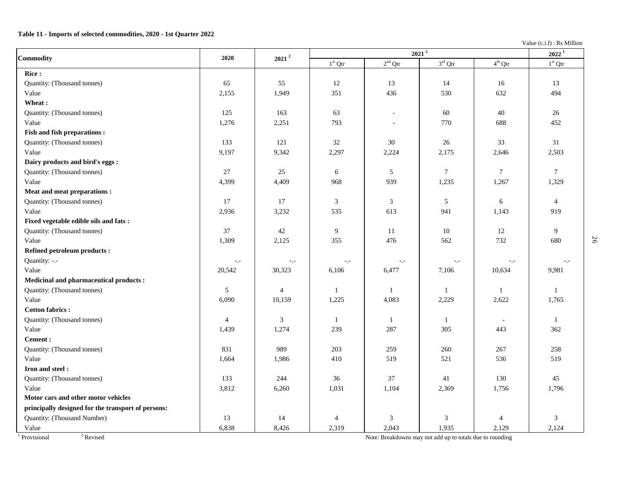### **Table 11 - Imports of selected commodities, 2020 - 1st Quarter 2022**

Value (c.i.f) : Rs Million

| Commodity                                          | 2020            | $2021$ <sup>2</sup>                                                                       |           |                  | $2021^2$         |                     | $2022^1$        |
|----------------------------------------------------|-----------------|-------------------------------------------------------------------------------------------|-----------|------------------|------------------|---------------------|-----------------|
|                                                    |                 |                                                                                           | $1st$ Qtr | $2^{\rm nd}$ Qtr | $3^{\rm rd}$ Qtr | $4^{\text{th}}$ Qtr | $1st$ Qtr       |
| Rice:                                              |                 |                                                                                           |           |                  |                  |                     |                 |
| Quantity: (Thousand tonnes)                        | 65              | 55                                                                                        | 12        | 13               | 14               | 16                  | 13              |
| Value                                              | 2,155           | 1,949                                                                                     | 351       | 436              | 530              | 632                 | 494             |
| Wheat:                                             |                 |                                                                                           |           |                  |                  |                     |                 |
| Quantity: (Thousand tonnes)                        | 125             | 163                                                                                       | 63        | $\sim$           | 60               | 40                  | 26              |
| Value                                              | 1,276           | 2,251                                                                                     | 793       |                  | 770              | 688                 | 452             |
| Fish and fish preparations :                       |                 |                                                                                           |           |                  |                  |                     |                 |
| Quantity: (Thousand tonnes)                        | 133             | 121                                                                                       | 32        | $30\,$           | $26\,$           | 33                  | 31              |
| Value                                              | 9,197           | 9,342                                                                                     | 2,297     | 2,224            | 2,175            | 2,646               | 2,503           |
| Dairy products and bird's eggs :                   |                 |                                                                                           |           |                  |                  |                     |                 |
| Quantity: (Thousand tonnes)                        | 27              | 25                                                                                        | 6         | 5                | $\tau$           | $\overline{7}$      | $7\phantom{.0}$ |
| Value                                              | 4,399           | 4,409                                                                                     | 968       | 939              | 1,235            | 1,267               | 1,329           |
| Meat and meat preparations :                       |                 |                                                                                           |           |                  |                  |                     |                 |
| Quantity: (Thousand tonnes)                        | 17              | 17                                                                                        | 3         | 3                | 5                | 6                   | $\overline{4}$  |
| Value                                              | 2,936           | 3,232                                                                                     | 535       | 613              | 941              | 1,143               | 919             |
| Fixed vegetable edible oils and fats:              |                 |                                                                                           |           |                  |                  |                     |                 |
| Quantity: (Thousand tonnes)                        | 37              | 42                                                                                        | 9         | 11               | 10               | 12                  | 9               |
| Value                                              | 1,309           | 2,125                                                                                     | 355       | 476              | 562              | 732                 | 680             |
| <b>Refined petroleum products:</b>                 |                 |                                                                                           |           |                  |                  |                     |                 |
| Quantity: -.-                                      | $\sim$ , $\sim$ | $\mathord{\hspace{1pt}\text{--}\hspace{1pt}},\mathord{\hspace{1pt}\text{--}\hspace{1pt}}$ | -.-       | $\sim$ , $\sim$  | $\sim$ , $\sim$  | $\sim$ , $\sim$     | $-1$            |
| Value                                              | 20,542          | 30,323                                                                                    | 6,106     | 6,477            | 7,106            | 10,634              | 9,981           |
| Medicinal and pharmaceutical products :            |                 |                                                                                           |           |                  |                  |                     |                 |
| Quantity: (Thousand tonnes)                        | 5               | $\overline{4}$                                                                            | -1        | -1               | $\mathbf{1}$     | $\overline{1}$      | $\mathbf{1}$    |
| Value                                              | 6,090           | 10,159                                                                                    | 1,225     | 4,083            | 2,229            | 2,622               | 1,765           |
| <b>Cotton fabrics:</b>                             |                 |                                                                                           |           |                  |                  |                     |                 |
| Quantity: (Thousand tonnes)                        | $\overline{4}$  | 3                                                                                         | -1        | $\mathbf{1}$     | -1               |                     | $\mathbf{1}$    |
| Value                                              | 1,439           | 1,274                                                                                     | 239       | 287              | 305              | 443                 | 362             |
| <b>Cement:</b>                                     |                 |                                                                                           |           |                  |                  |                     |                 |
| Quantity: (Thousand tonnes)                        | 831             | 989                                                                                       | 203       | 259              | 260              | 267                 | 258             |
| Value                                              | 1,664           | 1,986                                                                                     | 410       | 519              | 521              | 536                 | 519             |
| Iron and steel:                                    |                 |                                                                                           |           |                  |                  |                     |                 |
| Quantity: (Thousand tonnes)                        | 133             | 244                                                                                       | 36        | 37               | 41               | 130                 | 45              |
| Value                                              | 3,812           | 6,260                                                                                     | 1,031     | 1,104            | 2,369            | 1,756               | 1,796           |
| Motor cars and other motor vehicles                |                 |                                                                                           |           |                  |                  |                     |                 |
| principally designed for the transport of persons: |                 |                                                                                           |           |                  |                  |                     |                 |
| Quantity: (Thousand Number)                        | 13              | 14                                                                                        | 4         | $\mathfrak{Z}$   | 3                | $\overline{4}$      | 3               |
| Value                                              | 6,838           | 8,426                                                                                     | 2,319     | 2,043            | 1,935            | 2,129               | 2,124           |

<sup>1</sup> Provisional <sup>2</sup>

<sup>2</sup> Revised Note: Breakdowns may not add up to totals due to rounding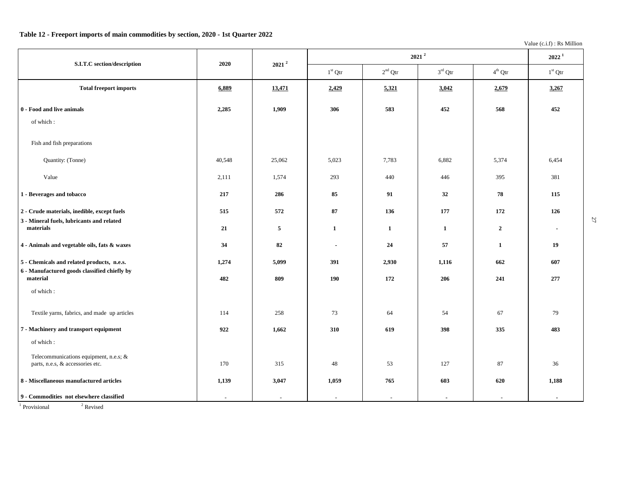## **Table 12 - Freeport imports of main commodities by section, 2020 - 1st Quarter 2022**

Value (c.i.f) : Rs Million

27

| S.I.T.C section/description                                                                | 2020   | $2021^2$       |              | $2022^1$     |                     |                     |           |
|--------------------------------------------------------------------------------------------|--------|----------------|--------------|--------------|---------------------|---------------------|-----------|
|                                                                                            |        |                | $1st$ Qtr    | $2nd$ Qtr    | $3^{\text{rd}}$ Qtr | $4^{\text{th}}$ Qtr | $1st$ Qtr |
| <b>Total freeport imports</b>                                                              | 6,889  | 13,471         | 2,429        | 5,321        | 3,042               | 2,679               | 3,267     |
| 0 - Food and live animals                                                                  | 2,285  | 1,909          | 306          | 583          | 452                 | 568                 | 452       |
| of which:                                                                                  |        |                |              |              |                     |                     |           |
| Fish and fish preparations                                                                 |        |                |              |              |                     |                     |           |
| Quantity: (Tonne)                                                                          | 40,548 | 25,062         | 5,023        | 7,783        | 6,882               | 5,374               | 6,454     |
| Value                                                                                      | 2,111  | 1,574          | 293          | 440          | 446                 | 395                 | 381       |
| 1 - Beverages and tobacco                                                                  | 217    | 286            | 85           | 91           | 32                  | 78                  | 115       |
| 2 - Crude materials, inedible, except fuels<br>3 - Mineral fuels, lubricants and related   | 515    | 572            | 87           | 136          | 177                 | 172                 | 126       |
| materials                                                                                  | 21     | $\overline{5}$ | $\mathbf{1}$ | $\mathbf{1}$ | $\mathbf{1}$        | $\overline{2}$      |           |
| 4 - Animals and vegetable oils, fats & waxes                                               | 34     | 82             | $\sim$       | 24           | 57                  | $\mathbf{1}$        | 19        |
| 5 - Chemicals and related products, n.e.s.<br>6 - Manufactured goods classified chiefly by | 1,274  | 5,099          | 391          | 2,930        | 1,116               | 662                 | 607       |
| material                                                                                   | 482    | 809            | 190          | 172          | 206                 | 241                 | 277       |
| of which:                                                                                  |        |                |              |              |                     |                     |           |
| Textile yarns, fabrics, and made up articles                                               | 114    | 258            | 73           | 64           | 54                  | 67                  | 79        |
| 7 - Machinery and transport equipment                                                      | 922    | 1,662          | 310          | 619          | 398                 | 335                 | 483       |
| of which:                                                                                  |        |                |              |              |                     |                     |           |
| Telecommunications equipment, n.e.s; &<br>parts, n.e.s, & accessories etc.                 | 170    | 315            | 48           | 53           | 127                 | 87                  | 36        |
| 8 - Miscellaneous manufactured articles                                                    | 1,139  | 3,047          | 1,059        | 765          | 603                 | 620                 | 1,188     |
| 9 - Commodities not elsewhere classified                                                   | $\sim$ |                |              | $\sim$       |                     |                     |           |

<sup>1</sup> Provisional <sup>2</sup>

<sup>2</sup> Revised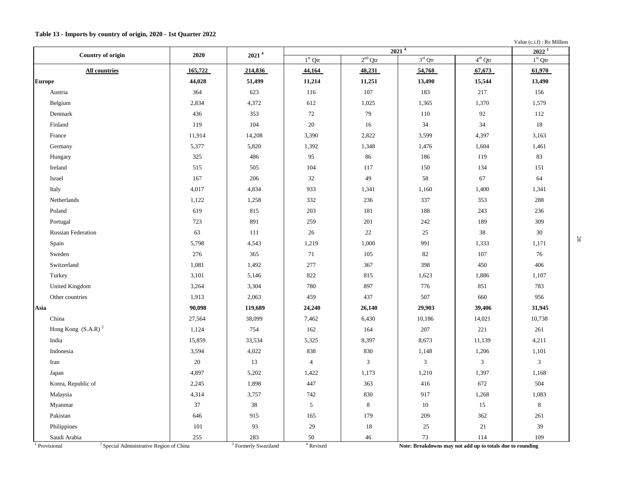### **Table 13 - Imports by country of origin, 2020 - 1st Quarter 2022**

Value (c.i.f) : Rs Million

| <b>Country of origin</b>  | 2020    | 2021 <sup>4</sup> |                |                | 2021 <sup>4</sup> |                | $2022^{\overline{1}}$ |
|---------------------------|---------|-------------------|----------------|----------------|-------------------|----------------|-----------------------|
|                           |         |                   | $1st$ Qtr      | $2nd$ Qtr      | $3rd$ Qtr         | $4^{th}$ Qtr   | $1st$ Qtr             |
| <b>All countries</b>      | 165,722 | 214,836           | 44,164         | 48,231         | 54,768            | 67,673         | 61,970                |
| <b>Europe</b>             | 44,028  | 51,499            | 11,214         | 11,251         | 13,490            | 15,544         | 13,490                |
| Austria                   | 364     | 623               | 116            | 107            | 183               | 217            | 156                   |
| Belgium                   | 2,834   | 4,372             | 612            | 1,025          | 1,365             | 1,370          | 1,579                 |
| Denmark                   | 436     | 353               | 72             | 79             | 110               | 92             | 112                   |
| Finland                   | 119     | 104               | $20\,$         | 16             | 34                | 34             | 18                    |
| France                    | 11,914  | 14,208            | 3,390          | 2,822          | 3,599             | 4,397          | 3,163                 |
| Germany                   | 5,377   | 5,820             | 1,392          | 1,348          | 1,476             | 1,604          | 1,461                 |
| Hungary                   | 325     | 486               | 95             | 86             | 186               | 119            | 83                    |
| Ireland                   | 515     | 505               | 104            | 117            | 150               | 134            | 151                   |
| Israel                    | 167     | 206               | 32             | 49             | 58                | 67             | 64                    |
| Italy                     | 4,017   | 4,834             | 933            | 1,341          | 1,160             | 1,400          | 1,341                 |
| Netherlands               | 1,122   | 1,258             | 332            | 236            | 337               | 353            | 288                   |
| Poland                    | 619     | 815               | 203            | 181            | 188               | 243            | 236                   |
| Portugal                  | 723     | 891               | 259            | 201            | 242               | 189            | 309                   |
| <b>Russian Federation</b> | 63      | 111               | 26             | 22             | 25                | 38             | 30                    |
| Spain                     | 5,798   | 4,543             | 1,219          | 1,000          | 991               | 1,333          | 1,171                 |
| Sweden                    | 276     | 365               | 71             | 105            | 82                | 107            | 76                    |
| Switzerland               | 1,081   | 1,492             | 277            | 367            | 398               | 450            | 406                   |
| Turkey                    | 3,101   | 5,146             | 822            | 815            | 1,623             | 1,886          | 1,107                 |
| United Kingdom            | 3,264   | 3,304             | 780            | 897            | 776               | 851            | 783                   |
| Other countries           | 1,913   | 2,063             | 459            | 437            | 507               | 660            | 956                   |
| Asia                      | 90,098  | 119,689           | 24,240         | 26,140         | 29,903            | 39,406         | 31,945                |
| China                     | 27,564  | 38,099            | 7,462          | 6,430          | 10,186            | 14,021         | 10,738                |
| Hong Kong $(S.A.R)^2$     | 1,124   | 754               | 162            | 164            | 207               | 221            | 261                   |
| India                     | 15,859  | 33,534            | 5,325          | 8,397          | 8,673             | 11,139         | 4,211                 |
| Indonesia                 | 3,594   | 4,022             | 838            | 830            | 1,148             | 1,206          | 1,101                 |
| Iran                      | $20\,$  | 13                | $\overline{4}$ | $\mathfrak{Z}$ | $\mathfrak{Z}$    | $\mathfrak{Z}$ | $\mathfrak{Z}$        |
| Japan                     | 4,897   | 5,202             | 1,422          | 1,173          | 1,210             | 1,397          | 1,168                 |
| Korea, Republic of        | 2,245   | 1,898             | 447            | 363            | 416               | 672            | 504                   |
| Malaysia                  | 4,314   | 3,757             | 742            | 830            | 917               | 1,268          | 1,083                 |
| Myanmar                   | 37      | 38                | $\sqrt{5}$     | 8              | 10                | 15             | $\,8\,$               |
| Pakistan                  | 646     | 915               | 165            | 179            | 209               | 362            | 261                   |
| Philippines               | 101     | 93                | 29             | 18             | 25                | 21             | 39                    |
| Saudi Arabia              | 255     | 283               | 50             | 46             | 73                | 114            | 109                   |

 $1$  Provisional

Note: Breakdowns may not add up to totals due to rounding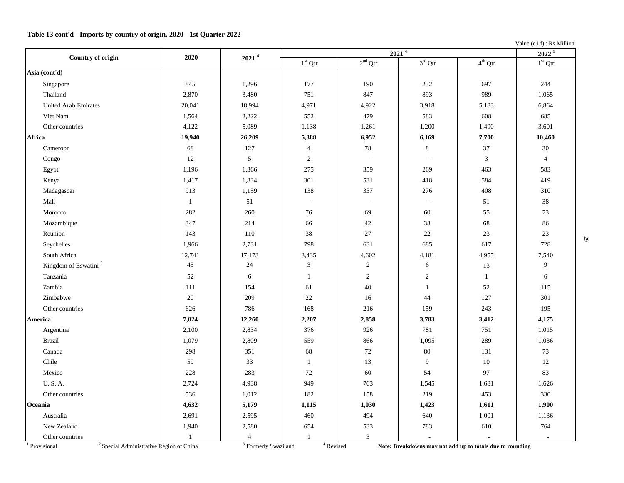## **Table 13 cont'd - Imports by country of origin, 2020 - 1st Quarter 2022**

Value (c.i.f) : Rs Million

| Country of origin                | 2020                                       | 2021 <sup>4</sup>                        |                |                | 2021 <sup>4</sup> |                                                           | $2022^1$       |
|----------------------------------|--------------------------------------------|------------------------------------------|----------------|----------------|-------------------|-----------------------------------------------------------|----------------|
|                                  |                                            |                                          | $1st$ Qtr      | $2nd$ Qtr      | $3rd$ Qtr         | $4^{th}$ Qtr                                              | $1st$ Qtr      |
| Asia (cont'd)                    |                                            |                                          |                |                |                   |                                                           |                |
| Singapore                        | 845                                        | 1,296                                    | 177            | 190            | 232               | 697                                                       | 244            |
| Thailand                         | 2,870                                      | 3,480                                    | 751            | 847            | 893               | 989                                                       | 1,065          |
| <b>United Arab Emirates</b>      | 20,041                                     | 18,994                                   | 4,971          | 4,922          | 3,918             | 5,183                                                     | 6,864          |
| Viet Nam                         | 1,564                                      | 2,222                                    | 552            | 479            | 583               | 608                                                       | 685            |
| Other countries                  | 4,122                                      | 5,089                                    | 1,138          | 1,261          | 1,200             | 1,490                                                     | 3,601          |
| Africa                           | 19,940                                     | 26,209                                   | 5,388          | 6,952          | 6,169             | 7,700                                                     | 10,460         |
| Cameroon                         | 68                                         | 127                                      | $\overline{4}$ | $78\,$         | $\,8\,$           | 37                                                        | $30\,$         |
| Congo                            | 12                                         | 5                                        | 2              | $\sim$         | $\sim$            | 3                                                         | $\overline{4}$ |
| Egypt                            | 1,196                                      | 1,366                                    | 275            | 359            | 269               | 463                                                       | 583            |
| Kenya                            | 1,417                                      | 1,834                                    | 301            | 531            | 418               | 584                                                       | 419            |
| Madagascar                       | 913                                        | 1,159                                    | 138            | 337            | 276               | 408                                                       | 310            |
| Mali                             | $\mathbf{1}$                               | 51                                       | $\sim$         | $\sim$         | $\sim$            | 51                                                        | $38\,$         |
| Morocco                          | 282                                        | 260                                      | 76             | 69             | 60                | 55                                                        | 73             |
| Mozambique                       | 347                                        | 214                                      | 66             | 42             | 38                | 68                                                        | 86             |
| Reunion                          | 143                                        | 110                                      | 38             | 27             | $22\,$            | 23                                                        | 23             |
| Seychelles                       | 1,966                                      | 2,731                                    | 798            | 631            | 685               | 617                                                       | 728            |
| South Africa                     | 12,741                                     | 17,173                                   | 3,435          | 4,602          | 4,181             | 4,955                                                     | 7,540          |
| Kingdom of Eswatini <sup>3</sup> | 45                                         | $24\,$                                   | $\mathfrak{Z}$ | $\overline{c}$ | 6                 | 13                                                        | 9              |
| Tanzania                         | 52                                         | 6                                        | $\mathbf{1}$   | $\sqrt{2}$     | $\mathbf{2}$      | $\mathbf{1}$                                              | 6              |
| Zambia                           | 111                                        | 154                                      | 61             | 40             | $\mathbf{1}$      | 52                                                        | 115            |
| Zimbabwe                         | $20\,$                                     | 209                                      | $22\,$         | 16             | 44                | 127                                                       | 301            |
| Other countries                  | 626                                        | 786                                      | 168            | 216            | 159               | 243                                                       | 195            |
| America                          | 7,024                                      | 12,260                                   | 2,207          | 2,858          | 3,783             | 3,412                                                     | 4,175          |
| Argentina                        | 2,100                                      | 2,834                                    | 376            | 926            | 781               | 751                                                       | 1,015          |
| <b>Brazil</b>                    | 1,079                                      | 2,809                                    | 559            | 866            | 1,095             | 289                                                       | 1,036          |
| Canada                           | 298                                        | 351                                      | 68             | $72\,$         | $80\,$            | 131                                                       | $73\,$         |
| Chile                            | 59                                         | 33                                       | $\mathbf{1}$   | 13             | 9                 | $10\,$                                                    | $12\,$         |
| Mexico                           | 228                                        | 283                                      | 72             | 60             | 54                | 97                                                        | 83             |
| <b>U.S.A.</b>                    | 2,724                                      | 4,938                                    | 949            | 763            | 1,545             | 1,681                                                     | 1,626          |
| Other countries                  | 536                                        | 1,012                                    | 182            | 158            | 219               | 453                                                       | 330            |
| Oceania                          | 4,632                                      | 5,179                                    | 1,115          | 1,030          | 1,423             | 1,611                                                     | 1,900          |
| Australia                        | 2,691                                      | 2,595                                    | 460            | 494            | 640               | 1,001                                                     | 1,136          |
| New Zealand                      | 1,940                                      | 2,580                                    | 654            | 533            | 783               | 610                                                       | 764            |
| Other countries                  | $\mathbf{1}$                               | 4                                        | $\mathbf{1}$   | $\mathfrak{Z}$ |                   |                                                           | $\sim$         |
| <sup>1</sup> Provisional         | $2$ Special Administrative Region of China | $\overline{\text{3}}$ Formerly Swaziland | $4$ Revised    |                |                   | Note: Breakdowns may not add up to totals due to rounding |                |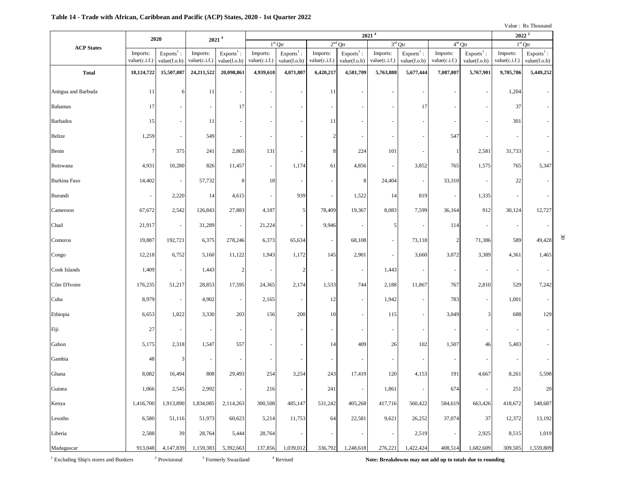### **Table 14 - Trade with African, Caribbean and Pacific (ACP) States, 2020 - 1st Quarter 2022**

30

| $2021$ <sup>4</sup><br>$2021$ <sup>4</sup><br>2020<br>$2nd$ Qtr<br>$1st$ Qtr |                           |                              |                           |                                      |                           |                                                     |                           | $2022^2$                                            |                           |                              |                           |                              |                           |                              |
|------------------------------------------------------------------------------|---------------------------|------------------------------|---------------------------|--------------------------------------|---------------------------|-----------------------------------------------------|---------------------------|-----------------------------------------------------|---------------------------|------------------------------|---------------------------|------------------------------|---------------------------|------------------------------|
| <b>ACP States</b>                                                            |                           |                              |                           |                                      |                           |                                                     |                           |                                                     | $3rd$ Qtr                 |                              |                           | $4^{th}$ Qtr                 |                           | $1st$ Qtr                    |
|                                                                              | Imports:<br>value(c.i.f.) | $Exports1$ :<br>value(f.o.b) | Imports:<br>value(c.i.f.) | $\mbox{Exports}^1$ :<br>value(f.o.b) | Imports:<br>value(c.i.f.) | $\ensuremath{\mathsf{Exports}}^1$ :<br>value(f.o.b) | Imports:<br>value(c.i.f.) | $\ensuremath{\mathsf{Exports}}^1$ :<br>value(f.o.b) | Imports:<br>value(c.i.f.) | $Exports1$ :<br>value(f.o.b) | Imports:<br>value(c.i.f.) | $Exports1$ :<br>value(f.o.b) | Imports:<br>value(c.i.f.) | $Exports1$ :<br>value(f.o.b) |
| <b>Total</b>                                                                 | 18,124,722                | 15,507,087                   | 24,211,522                | 20,098,861                           | 4,939,610                 | 4,071,807                                           | 6,420,217                 | 4,581,709                                           | 5,763,888                 | 5,677,444                    | 7,087,807                 | 5,767,901                    | 9,705,786                 | 5,449,252                    |
| Antigua and Barbuda                                                          | 11                        | 6                            | 11                        | $\overline{\phantom{a}}$             |                           | $\overline{\phantom{a}}$                            | 11                        | $\overline{\phantom{a}}$                            | $\overline{\phantom{a}}$  | $\overline{\phantom{a}}$     |                           | $\overline{\phantom{a}}$     | 1,204                     |                              |
| <b>Bahamas</b>                                                               | 17                        |                              | $\overline{\phantom{a}}$  | 17                                   |                           |                                                     |                           |                                                     |                           | 17                           |                           |                              | 37                        |                              |
| <b>Barbados</b>                                                              | 15                        | $\overline{\phantom{a}}$     | 11                        |                                      |                           |                                                     | 11                        |                                                     |                           |                              |                           | $\overline{\phantom{a}}$     | 301                       |                              |
| Belize                                                                       | 1,259                     | $\overline{\phantom{a}}$     | 549                       | $\overline{\phantom{a}}$             |                           | $\overline{\phantom{a}}$                            | $\overline{2}$            |                                                     |                           |                              | 547                       |                              |                           |                              |
| Benin                                                                        | $\overline{7}$            | 375                          | 241                       | 2,805                                | 131                       | $\overline{\phantom{a}}$                            | 8                         | 224                                                 | 101                       | $\sim$                       |                           | 2,581                        | 31,733                    |                              |
| <b>Botswana</b>                                                              | 4,931                     | 10,280                       | 826                       | 11,457                               | $\overline{\phantom{a}}$  | 1,174                                               | 61                        | 4,856                                               | $\overline{\phantom{a}}$  | 3,852                        | 765                       | 1,575                        | 765                       | 5,347                        |
| <b>Burkina Faso</b>                                                          | 14,402                    | $\overline{\phantom{a}}$     | 57,732                    | 8                                    | 18                        | $\overline{\phantom{a}}$                            |                           | 8                                                   | 24,404                    | $\omega$                     | 33,310                    | $\overline{\phantom{a}}$     | 22                        |                              |
| Burundi                                                                      |                           | 2,220                        | 14                        | 4,615                                |                           | 939                                                 | $\overline{\phantom{a}}$  | 1,522                                               | 14                        | 819                          | $\overline{\phantom{a}}$  | 1,335                        |                           |                              |
| Cameroon                                                                     | 67,672                    | 2,542                        | 126,843                   | 27,883                               | 4,187                     | 5                                                   | 78,409                    | 19,367                                              | 8,083                     | 7,599                        | 36,164                    | 912                          | 30,124                    | 12,727                       |
| Chad                                                                         | 21,917                    | $\overline{\phantom{a}}$     | 31,289                    | $\sim$                               | 21,224                    | $\overline{\phantom{a}}$                            | 9,946                     | $\overline{\phantom{a}}$                            | 5                         | $\sim$                       | 114                       | $\overline{\phantom{a}}$     |                           |                              |
| Comoros                                                                      | 19,887                    | 192,721                      | 6,375                     | 278,246                              | 6,373                     | 65,634                                              | $\overline{\phantom{a}}$  | 68,108                                              | $\overline{\phantom{a}}$  | 73,118                       | $\overline{2}$            | 71,386                       | 589                       | 49,428                       |
| Congo                                                                        | 12,218                    | 6,752                        | 5,160                     | 11,122                               | 1,943                     | 1,172                                               | 145                       | 2,901                                               | $\overline{\phantom{a}}$  | 3,660                        | 3,072                     | 3,389                        | 4,361                     | 1,465                        |
| Cook Islands                                                                 | 1,409                     | $\overline{\phantom{a}}$     | 1,443                     | $\overline{2}$                       | $\overline{\phantom{a}}$  | $\overline{c}$                                      | $\overline{\phantom{a}}$  | $\overline{\phantom{a}}$                            | 1,443                     | $\overline{\phantom{a}}$     | $\overline{\phantom{m}}$  | $\overline{\phantom{a}}$     |                           |                              |
| Côte D'Ivoire                                                                | 176,235                   | 51,217                       | 28,853                    | 17,595                               | 24,365                    | 2,174                                               | 1,533                     | 744                                                 | 2,188                     | 11,867                       | 767                       | 2,810                        | 529                       | 7,242                        |
| Cuba                                                                         | 8,979                     | $\overline{\phantom{a}}$     | 4,902                     | $\overline{\phantom{a}}$             | 2,165                     | $\overline{\phantom{a}}$                            | 12                        | $\overline{\phantom{a}}$                            | 1,942                     | $\overline{\phantom{a}}$     | 783                       | $\overline{\phantom{a}}$     | 1,001                     |                              |
| Ethiopia                                                                     | 6,653                     | 1,822                        | 3,330                     | 203                                  | 156                       | 200                                                 | 10                        | $\overline{\phantom{a}}$                            | 115                       |                              | 3,049                     |                              | 688                       | 129                          |
| Fiji                                                                         | 27                        | $\overline{\phantom{a}}$     | $\overline{\phantom{a}}$  | $\sim$                               |                           |                                                     |                           |                                                     |                           |                              |                           |                              |                           |                              |
| Gabon                                                                        | 5,175                     | 2,318                        | 1,547                     | 557                                  |                           | $\overline{\phantom{a}}$                            | 14                        | 409                                                 | 26                        | 102                          | 1,507                     | 46                           | 5,403                     |                              |
| Gambia                                                                       | 48                        | 3                            |                           | $\sim$                               |                           | $\overline{\phantom{a}}$                            |                           |                                                     |                           | $\overline{\phantom{a}}$     | $\overline{\phantom{a}}$  |                              |                           |                              |
| Ghana                                                                        | 8,082                     | 16,494                       | 808                       | 29,493                               | 254                       | 3,254                                               | 243                       | 17,419                                              | 120                       | 4,153                        | 191                       | 4,667                        | 8,261                     | 5,598                        |
| Guinea                                                                       | 1,066                     | 2,545                        | 2,992                     | $\sim$                               | 216                       | $\overline{\phantom{a}}$                            | 241                       | $\overline{\phantom{a}}$                            | 1,861                     |                              | 674                       | $\overline{\phantom{a}}$     | 251                       | 20                           |
| Kenya                                                                        | 1,416,700                 | 1,913,890                    | 1,834,085                 | 2,114,263                            | 300,508                   | 485,147                                             | 531,242                   | 405,268                                             | 417,716                   | 560,422                      | 584,619                   | 663,426                      | 418,672                   | 548,687                      |
| Lesotho                                                                      | 6,580                     | 51,116                       | 51,973                    | 60,623                               | 5,214                     | 11,753                                              | 64                        | 22,581                                              | 9,621                     | 26,252                       | 37,074                    | 37                           | 12,372                    | 13,192                       |
| Liberia                                                                      | 2,588                     | 39                           | 28,764                    | 5,444                                | 28,764                    | $\overline{\phantom{a}}$                            |                           |                                                     | $\overline{\phantom{a}}$  | 2,519                        | $\overline{\phantom{a}}$  | 2,925                        | 8,515                     | 1,019                        |
| Madagascar                                                                   | 913,048                   | 4,147,839                    | 1,159,383                 | 5,392,663                            | 137,856                   | 1,039,012                                           | 336,792                   | 1,248,618                                           | 276,221                   | 1,422,424                    | 408,514                   | 1,682,609                    | 309,505                   | 1,559,809                    |

<sup>2</sup> Provisional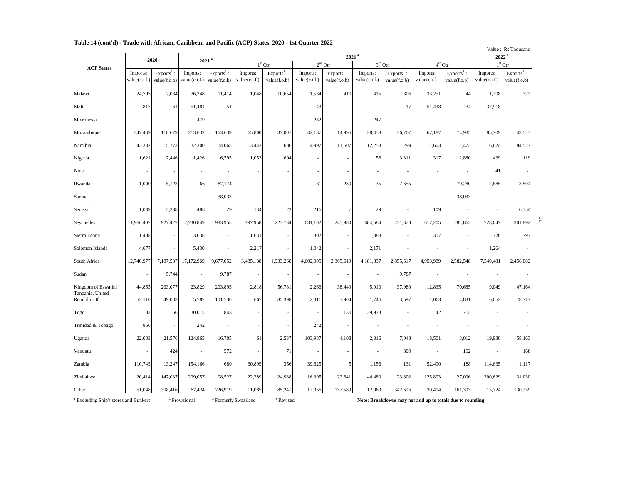|                                  |                           |                              |                           |                              | 1 apr 14 (Colit u) - 11auc with Afficali, Carlbbcall and 1 active (AC1 ) States, 2020 - 1st Quarter 2022<br>$2021^{4}$<br>2 <sup>nd</sup> Qtr<br>$3^{\rm rd}$ Otr<br>$4^{th}$ Qtr<br>$1st$ Qtr |                              |                           |                              |                           |                              |                           |                              |                           | Value: Rs Thousand<br>$2022^2$ |
|----------------------------------|---------------------------|------------------------------|---------------------------|------------------------------|------------------------------------------------------------------------------------------------------------------------------------------------------------------------------------------------|------------------------------|---------------------------|------------------------------|---------------------------|------------------------------|---------------------------|------------------------------|---------------------------|--------------------------------|
|                                  |                           | 2020                         | 2021 <sup>4</sup>         |                              |                                                                                                                                                                                                |                              |                           |                              |                           |                              |                           |                              |                           | $1st$ Otr                      |
| <b>ACP States</b>                | Imports:<br>value(c.i.f.) | $Exports1$ :<br>value(f.o.b) | Imports:<br>value(c.i.f.) | $Exports1$ :<br>value(f.o.b) | Imports:<br>value(c.i.f.)                                                                                                                                                                      | $Exports1$ :<br>value(f.o.b) | Imports:<br>value(c.i.f.) | $Exports1$ :<br>value(f.o.b) | Imports:<br>value(c.i.f.) | $Exports1$ :<br>value(f.o.b) | Imports:<br>value(c.i.f.) | $Exports1$ :<br>value(f.o.b) | Imports:<br>value(c.i.f.) | $Exports1$ :<br>value(f.o.b)   |
| Malawi                           | 24,795                    | 2,034                        | 36,248                    | 11,414                       | 1,048                                                                                                                                                                                          | 10,654                       | 1,534                     | 410                          | 415                       | 306                          | 33,251                    | 44                           | 1,298                     | 373                            |
| Mali                             | 817                       | 61                           | 51,481                    | 51                           |                                                                                                                                                                                                |                              | 43                        |                              |                           | 17                           | 51,438                    | 34                           | 37,918                    |                                |
| Micronesia                       |                           | $\overline{\phantom{a}}$     | 479                       | $\overline{\phantom{a}}$     |                                                                                                                                                                                                |                              | 232                       | $\overline{\phantom{a}}$     | 247                       |                              | $\overline{\phantom{a}}$  | ٠                            |                           |                                |
| Mozambique                       | 347,439                   | 118,679                      | 213,632                   | 163,639                      | 65,800                                                                                                                                                                                         | 37,001                       | 42,187                    | 14,996                       | 38,458                    | 36,707                       | 67,187                    | 74,935                       | 85,709                    | 43,523                         |
| Namibia                          | 43,332                    | 15,773                       | 32,300                    | 14,065                       | 3,442                                                                                                                                                                                          | 686                          | 4,997                     | 11,607                       | 12,258                    | 299                          | 11,603                    | 1,473                        | 6,624                     | 84,527                         |
| Nigeria                          | 1,621                     | 7,446                        | 1,426                     | 6,795                        | 1,053                                                                                                                                                                                          | 604                          |                           | ÷,                           | 56                        | 3,311                        | 317                       | 2,880                        | 439                       | 119                            |
| Niue                             | $\overline{a}$            | $\overline{\phantom{a}}$     | $\overline{\phantom{a}}$  | $\overline{\phantom{a}}$     |                                                                                                                                                                                                |                              |                           | $\overline{\phantom{a}}$     |                           |                              |                           |                              | 41                        |                                |
| Rwanda                           | 1,090                     | 5,123                        | 66                        | 87,174                       |                                                                                                                                                                                                |                              | 31                        | 239                          | 35                        | 7,655                        |                           | 79,280                       | 2,885                     | 3,504                          |
| Samoa                            |                           |                              | $\overline{\phantom{a}}$  | 38,033                       |                                                                                                                                                                                                |                              |                           |                              |                           |                              |                           | 38,033                       |                           |                                |
| Senegal                          | 1,039                     | 2,238                        | 488                       | 29                           | 134                                                                                                                                                                                            | 22                           | 216                       | $\tau$                       | 29                        |                              | 109                       |                              |                           | 6,354                          |
| Seychelles                       | 1,966,407                 | 927,427                      | 2,730,849                 | 983,955                      | 797,958                                                                                                                                                                                        | 223,734                      | 631,102                   | 245,980                      | 684,584                   | 231,378                      | 617,205                   | 282,863                      | 728,047                   | 301,892                        |
| Sierra Leone                     | 1,488                     |                              | 3,638                     | $\sim$                       | 1,631                                                                                                                                                                                          |                              | 302                       |                              | 1,388                     |                              | 317                       |                              | 728                       | 797                            |
| Solomon Islands                  | 4,677                     |                              | 5,430                     | $\overline{\phantom{a}}$     | 2,217                                                                                                                                                                                          |                              | 1,042                     |                              | 2,171                     |                              |                           |                              | 1,264                     |                                |
| South Africa                     | 12,740,977                | 7,187,537                    | 17,172,969                | 9,677,052                    | 3,435,138                                                                                                                                                                                      | 1,933,268                    | 4,602,005                 | 2,305,619                    | 4,181,837                 | 2,855,617                    | 4,953,989                 | 2,582,548                    | 7,540,481                 | 2,456,882                      |
| Sudan                            | $\overline{\phantom{a}}$  | 5,744                        | $\overline{\phantom{a}}$  | 9,787                        | $\overline{\phantom{a}}$                                                                                                                                                                       |                              | $\overline{\phantom{a}}$  | $\overline{\phantom{a}}$     | $\sim$                    | 9,787                        | $\overline{\phantom{a}}$  |                              |                           |                                |
| Kingdom of Eswatini <sup>3</sup> | 44,855                    | 203,077                      | 23,829                    | 203,895                      | 2,818                                                                                                                                                                                          | 56,781                       | 2,266                     | 38,449                       | 5,910                     | 37,980                       | 12,835                    | 70,685                       | 9,049                     | 47,164                         |
| Tanzania, United<br>Republic Of  | 52,110                    | 49,003                       | 5,787                     | 101,730                      | 667                                                                                                                                                                                            | 85,398                       | 2,311                     | 7,904                        | 1,746                     | 3,597                        | 1,063                     | 4,831                        | 6,052                     | 78,717                         |
| Togo                             | 83                        | 66                           | 30,015                    | 843                          |                                                                                                                                                                                                |                              |                           | 130                          | 29,973                    |                              | 42                        | 713                          |                           |                                |
| Trinidad & Tobago                | 856                       | $\overline{\phantom{a}}$     | 242                       | $\overline{\phantom{a}}$     |                                                                                                                                                                                                | ٠                            | 242                       | $\overline{\phantom{a}}$     | $\overline{\phantom{a}}$  |                              | $\overline{\phantom{a}}$  |                              |                           |                                |
| Uganda                           | 22,003                    | 21,576                       | 124,865                   | 16,705                       | 61                                                                                                                                                                                             | 2,537                        | 103,987                   | 4,108                        | 2,316                     | 7,048                        | 18,501                    | 3,012                        | 19,930                    | 58,163                         |
| Vanuatu                          |                           | 424                          | $\overline{\phantom{a}}$  | 572                          |                                                                                                                                                                                                | 71                           |                           |                              | $\overline{a}$            | 309                          | $\overline{\phantom{a}}$  | 192                          |                           | 168                            |
| Zambia                           | 110,745                   | 13,247                       | 154,166                   | 680                          | 60,895                                                                                                                                                                                         | 356                          | 39,625                    | 5                            | 1,156                     | 131                          | 52,490                    | 188                          | 114,635                   | 1,117                          |
| Zimbabwe                         | 20,414                    | 147,037                      | 209,057                   | 98,527                       | 22,289                                                                                                                                                                                         | 24,988                       | 16,395                    | 22,641                       | 44,480                    | 23,802                       | 125,893                   | 27,096                       | 300,629                   | 31,030                         |
| Other                            | 51,048                    | 398,416                      | 67,424                    | 726,919                      | 11,085                                                                                                                                                                                         | 85,241                       | 12,956                    | 137,589                      | 12,969                    | 342,696                      | 30,414                    | 161,393                      | 15,724                    | 130,259                        |

### **Table 14 (cont'd) - Trade with African, Caribbean and Pacific (ACP) States, 2020 - 1st Quarter 2022**

<sup>1</sup> Excluding Ship's stores and Bunkers <sup>2</sup>

 $^{\rm 2}$  Provisional

Note: Breakdowns may not add up to totals due to rounding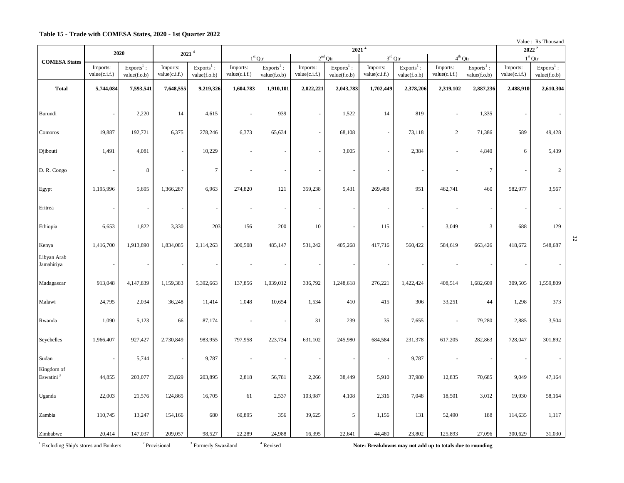### **Table 15 - Trade with COMESA States, 2020 - 1st Quarter 2022**

| Value: Rs Thousand |
|--------------------|
|                    |

|                                     | 2020                      |                              | 2021 <sup>4</sup>         |                              | 2021 <sup>4</sup>         |                              |                           |                              |                           |                              |                           |                              |                           | $2022^2$                     |  |
|-------------------------------------|---------------------------|------------------------------|---------------------------|------------------------------|---------------------------|------------------------------|---------------------------|------------------------------|---------------------------|------------------------------|---------------------------|------------------------------|---------------------------|------------------------------|--|
| <b>COMESA States</b>                |                           |                              |                           |                              |                           | $1st$ Qtr                    |                           | $2nd$ Qtr                    | $3rd$ Qtr                 |                              | $4^{th}$ Qtr              |                              |                           | $1st$ Qtr                    |  |
|                                     | Imports:<br>value(c.i.f.) | $Exports1$ :<br>value(f.o.b) | Imports:<br>value(c.i.f.) | $Exports1$ :<br>value(f.o.b) | Imports:<br>value(c.i.f.) | $Exports1$ :<br>value(f.o.b) | Imports:<br>value(c.i.f.) | $Exports1$ :<br>value(f.o.b) | Imports:<br>value(c.i.f.) | $Exports1$ :<br>value(f.o.b) | Imports:<br>value(c.i.f.) | $Exports1$ :<br>value(f.o.b) | Imports:<br>value(c.i.f.) | $Exports1$ :<br>value(f.o.b) |  |
| <b>Total</b>                        | 5,744,084                 | 7,593,541                    | 7,648,555                 | 9,219,326                    | 1,604,783                 | 1,910,101                    | 2,022,221                 | 2,043,783                    | 1,702,449                 | 2,378,206                    | 2,319,102                 | 2,887,236                    | 2,488,910                 | 2,610,304                    |  |
|                                     |                           |                              |                           |                              |                           |                              |                           |                              |                           |                              |                           |                              |                           |                              |  |
| Burundi                             |                           | 2,220                        | 14                        | 4,615                        | $\overline{\phantom{a}}$  | 939                          |                           | 1,522                        | 14                        | 819                          |                           | 1,335                        |                           |                              |  |
| Comoros                             | 19,887                    | 192,721                      | 6,375                     | 278,246                      | 6,373                     | 65,634                       | $\overline{\phantom{a}}$  | 68,108                       | $\sim$                    | 73,118                       | $\overline{c}$            | 71,386                       | 589                       | 49,428                       |  |
| Djibouti                            | 1,491                     | 4,081                        | ÷,                        | 10,229                       |                           |                              |                           | 3,005                        | $\sim$                    | 2,384                        |                           | 4,840                        | 6                         | 5,439                        |  |
| D. R. Congo                         |                           | $\,8\,$                      |                           | $\boldsymbol{7}$             |                           | ÷,                           |                           |                              |                           | $\overline{\phantom{a}}$     |                           | $7\phantom{.0}$              |                           | $\overline{2}$               |  |
| Egypt                               | 1,195,996                 | 5,695                        | 1,366,287                 | 6,963                        | 274,820                   | 121                          | 359,238                   | 5,431                        | 269,488                   | 951                          | 462,741                   | 460                          | 582,977                   | 3,567                        |  |
| Eritrea                             |                           | $\overline{\phantom{a}}$     |                           | $\overline{\phantom{a}}$     | ÷,                        | ä,                           |                           |                              |                           | $\overline{\phantom{a}}$     |                           |                              |                           |                              |  |
| Ethiopia                            | 6,653                     | 1,822                        | 3,330                     | 203                          | 156                       | 200                          | 10                        |                              | 115                       | $\overline{\phantom{a}}$     | 3,049                     | 3                            | 688                       | 129                          |  |
| Kenya                               | 1,416,700                 | 1,913,890                    | 1,834,085                 | 2,114,263                    | 300,508                   | 485,147                      | 531,242                   | 405,268                      | 417,716                   | 560,422                      | 584,619                   | 663,426                      | 418,672                   | 548,687                      |  |
| Libyan Arab<br>Jamahiriya           |                           |                              | $\overline{\phantom{a}}$  | $\overline{\phantom{a}}$     | $\overline{\phantom{a}}$  |                              | $\overline{\phantom{a}}$  |                              |                           | $\overline{\phantom{a}}$     |                           |                              |                           |                              |  |
| Madagascar                          | 913,048                   | 4,147,839                    | 1,159,383                 | 5,392,663                    | 137,856                   | 1,039,012                    | 336,792                   | 1,248,618                    | 276,221                   | 1,422,424                    | 408,514                   | 1,682,609                    | 309,505                   | 1,559,809                    |  |
| Malawi                              | 24,795                    | 2,034                        | 36,248                    | 11,414                       | 1,048                     | 10,654                       | 1,534                     | 410                          | 415                       | 306                          | 33,251                    | 44                           | 1,298                     | 373                          |  |
| Rwanda                              | 1,090                     | 5,123                        | 66                        | 87,174                       | $\overline{\phantom{a}}$  | ÷,                           | 31                        | 239                          | 35                        | 7,655                        | $\sim$                    | 79,280                       | 2,885                     | 3,504                        |  |
| Seychelles                          | 1,966,407                 | 927,427                      | 2,730,849                 | 983,955                      | 797,958                   | 223,734                      | 631,102                   | 245,980                      | 684,584                   | 231,378                      | 617,205                   | 282,863                      | 728,047                   | 301,892                      |  |
| Sudan                               |                           | 5,744                        | ÷,                        | 9,787                        | $\overline{\phantom{a}}$  |                              | ÷,                        |                              | $\sim$                    | 9,787                        | $\sim$                    | ÷.                           |                           |                              |  |
| Kingdom of<br>Eswatini <sup>3</sup> | 44,855                    | 203,077                      | 23,829                    | 203,895                      | 2,818                     | 56,781                       | 2,266                     | 38,449                       | 5,910                     | 37,980                       | 12,835                    | 70,685                       | 9,049                     | 47,164                       |  |
| Uganda                              | 22,003                    | 21,576                       | 124,865                   | 16,705                       | 61                        | 2,537                        | 103,987                   | 4,108                        | 2,316                     | 7,048                        | 18,501                    | 3,012                        | 19,930                    | 58,164                       |  |
| Zambia                              | 110,745                   | 13,247                       | 154,166                   | 680                          | 60,895                    | 356                          | 39,625                    | 5                            | 1,156                     | 131                          | 52,490                    | 188                          | 114,635                   | 1,117                        |  |
| Zimbabwe                            | 20,414                    | 147,037                      | 209,057                   | 98,527                       | 22,289                    | 24,988                       | 16,395                    | 22,641                       | 44,480                    | 23,802                       | 125,893                   | 27,096                       | 300,629                   | 31,030                       |  |

 $1$  Excluding Ship's stores and Bunkers  $2$ 

Note: Breakdowns may not add up to totals due to rounding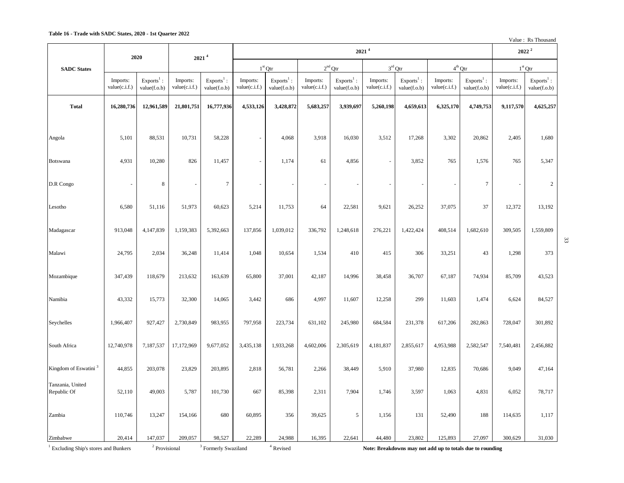Value : Rs Thousand

33

|                                                              | 2020                      |                                     |                           | 2021 <sup>4</sup>                         |                           | $2022^2$                     |                           |                              |                           |                              |                                                                      |                              |                           |                              |
|--------------------------------------------------------------|---------------------------|-------------------------------------|---------------------------|-------------------------------------------|---------------------------|------------------------------|---------------------------|------------------------------|---------------------------|------------------------------|----------------------------------------------------------------------|------------------------------|---------------------------|------------------------------|
| <b>SADC</b> States                                           |                           |                                     |                           |                                           |                           | $1st$ Qtr                    |                           | $2nd$ Qtr                    |                           | $3rd$ Otr                    | $4^{\rm th}\, \text{Qtr}$                                            |                              |                           | $1st$ Otr                    |
|                                                              | Imports:<br>value(c.i.f.) | $Exports1$ :<br>value(f.o.b)        | Imports:<br>value(c.i.f.) | $Exports1$ :<br>value(f.o.b)              | Imports:<br>value(c.i.f.) | $Exports1$ :<br>value(f.o.b) | Imports:<br>value(c.i.f.) | $Exports1$ :<br>value(f.o.b) | Imports:<br>value(c.i.f.) | $Exports1$ :<br>value(f.o.b) | Imports:<br>value(c.i.f.)                                            | $Exports1$ :<br>value(f.o.b) | Imports:<br>value(c.i.f.) | $Exports1$ :<br>value(f.o.b) |
| <b>Total</b>                                                 | 16,280,736                | 12,961,589                          | 21,801,751                | 16,777,936                                | 4,533,126                 | 3,428,872                    | 5,683,257                 | 3,939,697                    | 5,260,198                 | 4,659,613                    | 6,325,170                                                            | 4,749,753                    | 9,117,570                 | 4,625,257                    |
|                                                              |                           |                                     |                           |                                           |                           |                              |                           |                              |                           |                              |                                                                      |                              |                           |                              |
| Angola                                                       | 5,101                     | 88,531                              | 10,731                    | 58,228                                    |                           | 4,068                        | 3,918                     | 16,030                       | 3,512                     | 17,268                       | 3,302                                                                | 20,862                       | 2,405                     | 1,680                        |
| Botswana                                                     | 4,931                     | 10,280                              | 826                       | 11,457                                    | ä,                        | 1,174                        | 61                        | 4,856                        | ÷.                        | 3,852                        | 765                                                                  | 1,576                        | 765                       | 5,347                        |
|                                                              |                           |                                     |                           |                                           |                           |                              |                           |                              |                           |                              |                                                                      |                              |                           |                              |
| D.R Congo                                                    | ÷,                        | $\,8\,$                             |                           | $\tau$                                    |                           |                              |                           |                              |                           |                              | ÷,                                                                   | $\tau$                       |                           | $\sqrt{2}$                   |
| Lesotho                                                      | 6,580                     | 51,116                              | 51,973                    | 60,623                                    | 5,214                     | 11,753                       | 64                        | 22,581                       | 9,621                     | 26,252                       | 37,075                                                               | 37                           | 12,372                    | 13,192                       |
| Madagascar                                                   | 913,048                   | 4,147,839                           | 1,159,383                 | 5,392,663                                 | 137,856                   | 1,039,012                    | 336,792                   | 1,248,618                    | 276,221                   | 1,422,424                    | 408,514                                                              | 1,682,610                    | 309,505                   | 1,559,809                    |
|                                                              |                           |                                     |                           |                                           |                           |                              |                           |                              |                           |                              |                                                                      |                              |                           |                              |
| Malawi                                                       | 24,795                    | 2,034                               | 36,248                    | 11,414                                    | 1,048                     | 10,654                       | 1,534                     | 410                          | 415                       | 306                          | 33,251                                                               | 43                           | 1,298                     | 373                          |
| Mozambique                                                   | 347,439                   | 118,679                             | 213,632                   | 163,639                                   | 65,800                    | 37,001                       | 42,187                    | 14,996                       | 38,458                    | 36,707                       | 67,187                                                               | 74,934                       | 85,709                    | 43,523                       |
|                                                              |                           |                                     |                           |                                           |                           |                              |                           |                              |                           |                              |                                                                      |                              |                           |                              |
| Namibia                                                      | 43,332                    | 15,773                              | 32,300                    | 14,065                                    | 3,442                     | 686                          | 4,997                     | 11,607                       | 12,258                    | 299                          | 11,603                                                               | 1,474                        | 6,624                     | 84,527                       |
| Seychelles                                                   | 1,966,407                 | 927,427                             | 2,730,849                 | 983,955                                   | 797,958                   | 223,734                      | 631,102                   | 245,980                      | 684,584                   | 231,378                      | 617,206                                                              | 282,863                      | 728,047                   | 301,892                      |
| South Africa                                                 | 12,740,978                | 7,187,537                           | 17,172,969                | 9,677,052                                 | 3,435,138                 | 1,933,268                    | 4,602,006                 | 2,305,619                    | 4,181,837                 | 2,855,617                    | 4,953,988                                                            | 2,582,547                    | 7,540,481                 | 2,456,882                    |
|                                                              |                           |                                     |                           |                                           |                           |                              |                           |                              |                           |                              |                                                                      |                              |                           |                              |
| Kingdom of Eswatini <sup>3</sup>                             | 44,855                    | 203,078                             | 23,829                    | 203,895                                   | 2,818                     | 56,781                       | 2,266                     | 38,449                       | 5,910                     | 37,980                       | 12,835                                                               | 70,686                       | 9,049                     | 47,164                       |
| Tanzania, United<br>Republic Of                              | 52,110                    | 49,003                              | 5,787                     | 101,730                                   | 667                       | 85,398                       | 2,311                     | 7,904                        | 1,746                     | 3,597                        | 1,063                                                                | 4,831                        | 6,052                     | 78,717                       |
| Zambia                                                       | 110,746                   | 13,247                              | 154,166                   | 680                                       | 60,895                    | 356                          | 39,625                    | 5                            | 1,156                     | 131                          | 52,490                                                               | 188                          | 114,635                   | 1,117                        |
|                                                              |                           |                                     |                           |                                           |                           |                              |                           |                              |                           |                              |                                                                      |                              |                           |                              |
| Zimbabwe<br><sup>1</sup> Excluding Ship's stores and Bunkers | 20,414                    | 147,037<br><sup>2</sup> Provisional | 209,057                   | 98,527<br><sup>3</sup> Formerly Swaziland | 22,289                    | 24,988<br>$4$ Revised        | 16,395                    | 22,641                       | 44,480                    | 23,802                       | 125,893<br>Note: Breakdowns may not add up to totals due to rounding | 27,097                       | 300,629                   | 31,030                       |

 $1$  Excluding Ship's stores and Bunkers  $2$ 

 $3$  Formerly Swaziland  $4$  Revised

Note: Breakdowns may not add up to totals due to rounding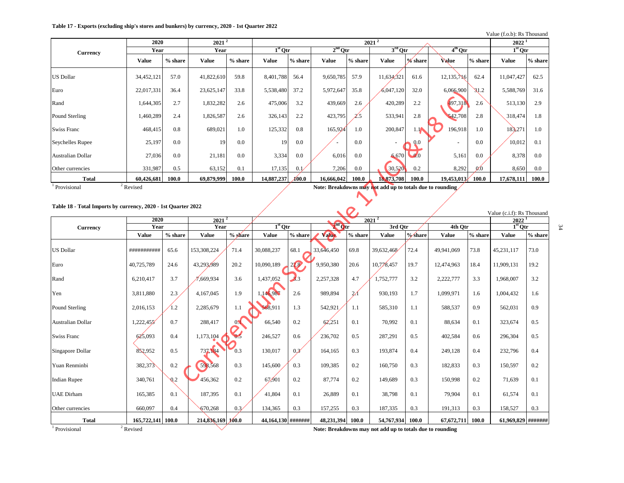### **Table 17 - Exports (excluding ship's stores and bunkers) by currency, 2020 - 1st Quarter 2022**

Value (f.o.b): Rs Thousand

|                   | 2020                 |           | $2021^2$   |           |              |           |              |           | $2021^2$                                                  |               |            |                 | 2022       |         |
|-------------------|----------------------|-----------|------------|-----------|--------------|-----------|--------------|-----------|-----------------------------------------------------------|---------------|------------|-----------------|------------|---------|
| Currency          | Year                 |           | Year       |           | $1st$ Otr    |           | $2nd$ Qtr    |           | $3rd$ Otr                                                 |               | $4th$ Qtr  |                 | $1st$ Otr  |         |
|                   | Value                | $%$ share | Value      | $%$ share | <b>Value</b> | $%$ share | <b>Value</b> | $%$ share | Value                                                     | % share       | Value      | $%$ share       | Value      | % share |
| <b>US Dollar</b>  | 34,452,121           | 57.0      | 41,822,610 | 59.8      | 8,401,788    | 56.4      | 9,650,785    | 57.9      | 11,634,321                                                | 61.6          | 12,135,716 | 62.4            | 11,047,427 | 62.5    |
| Euro              | 22,017,331           | 36.4      | 23,625,147 | 33.8      | 5,538,480    | 37.2      | 5,972,647    | 35.8      | 6,047,120                                                 | 32.0          | 6,066,900  | $\mathsf{S}1.2$ | 5,588,769  | 31.6    |
| Rand              | 1,644,305            | 2.7       | 1,832,282  | 2.6       | 475,006      | 3.2       | 439,669      | 2.6       | 420,289                                                   | 2.2           | 497,318    | 2.6             | 513,130    | 2.9     |
| Pound Sterling    | 1,460,289            | 2.4       | 1,826,587  | 2.6       | 326,143      | 2.2       | 423,795      | Z.5       | 533,941                                                   | 2.8           | 542,708    | 2.8             | 318,474    | 1.8     |
| Swiss Franc       | 468,415              | 0.8       | 689,021    | 1.0       | 125,332      | 0.8       | 165,924      | 1.0       | 200,847                                                   | $\cdot$ 10    | 196,918    | 1.0             | 183271     | 1.0     |
| Seychelles Rupee  | 25,197               | 0.0       | 19         | 0.0       | 19           | 0.0       |              | 0.0       |                                                           | 0.0           |            | 0.0             | 10,012     | 0.1     |
| Australian Dollar | 27,036               | 0.0       | 21,181     | 0.0       | 3,334        | 0.0       | 6,016        | 0.0       | 6,670                                                     | $\bullet$ 0.0 | 5,161      | 0.0             | 8,378      | 0.0     |
| Other currencies  | 331,987              | 0.5       | 63,152     | 0.1       | 17,135       | 0.1       | 7,206        | 0.0       | 30,520                                                    | 0.2           | 8,292      | 0 <sub>0</sub>  | 8,650      | 0.0     |
| <b>Total</b>      | 60,426,681           | 100.0     | 69,879,999 | 100.0     | 14,887,237   | XOO.O     | 16,666,042   | 100.0     | 18,873,708                                                | 100.0         | 19,453,013 | 100.0           | 17,678,111 | 100.0   |
| Provisional       | <sup>2</sup> Revised |           |            |           |              |           |              |           | Note: Breakdowns may not add up to totals due to rounding |               |            |                 |            |         |

 $\blacktriangleright$ 

### **Table 18 - Total Imports by currency, 2020 - 1st Quarter 2022**

|                          | 2020              |                | $2021^2$                                                  |                       |                    |                      |              |               | $2021^2$     |         |              |         | value (C.I.I). KS 1110usand<br>2022 <sup>1</sup> |           |
|--------------------------|-------------------|----------------|-----------------------------------------------------------|-----------------------|--------------------|----------------------|--------------|---------------|--------------|---------|--------------|---------|--------------------------------------------------|-----------|
| Currency                 | Year              |                | Year                                                      |                       | $1st$ Otr          |                      | $2nd$ Otr    |               | 3rd Otr      |         | 4th Otr      |         | $1st$ Otr                                        |           |
|                          | <b>Value</b>      | $%$ share      | <b>Value</b>                                              | % share               | <b>Value</b>       | % share              | <b>Value</b> | % share       | <b>Value</b> | %/share | <b>Value</b> | % share | Value                                            | $%$ share |
| <b>US Dollar</b>         | ###########       | 65.6           | 153,308,224                                               | 71.4                  | 30,088,237         | 68.1                 | 33,646,450   | 69.8          | 39,632,468   | 72.4    | 49,941,069   | 73.8    | 45,231,117                                       | 73.0      |
| Euro                     | 40,725,789        | 24.6           | 43,293,989                                                | 20.2                  | 10,090,189         | 22.8                 | 9,950,380    | 20.6          | 10.778.457   | 19.7    | 12,474,963   | 18.4    | 11,909,131                                       | 19.2      |
| Rand                     | 6,210,417         | 3.7            | ,669,934                                                  | 3.6                   | 1,437,052          | $\blacktriangle$ 3.3 | 2,257,328    | 4.7           | 1,752,777    | 3.2     | 2,222,777    | 3.3     | 1,968,007                                        | 3.2       |
| Yen                      | 3,811,880         | 2.3            | 4,167,045                                                 | 1.9                   | 1,146,987          | 2.6                  | 989,894      | $\mathcal{U}$ | 930,193      | 1.7     | 1,099,971    | 1.6     | 1,004,432                                        | 1.6       |
| Pound Sterling           | 2,016,153         | 1.2            | 2,285,679                                                 | 1.1                   | 568.911            | 1.3                  | 542,921      | 1.1           | 585,310      | 1.1     | 588,537      | 0.9     | 562,031                                          | 0.9       |
| Australian Dollar        | 1,222,455         | 0.7            | 288,417                                                   | $0\blacktriangleleft$ | 66,540             | 0.2                  | 62,251       | 0.1           | 70,992       | 0.1     | 88,634       | 0.1     | 323,674                                          | 0.5       |
| <b>Swiss Franc</b>       | 625,093           | 0.4            | 1,173,104                                                 | 0.5                   | 246,527            | 0.6                  | 236,702      | 0.5           | 287,291      | 0.5     | 402,584      | 0.6     | 296,304                                          | 0.5       |
| Singapore Dollar         | 852,952           | 0.5            | 737,184                                                   | 0.3                   | 130,017            | 0.3 <sup>′</sup>     | 164,165      | 0.3           | 193,874      | 0.4     | 249,128      | 0.4     | 232,796                                          | 0.4       |
| Yuan Renminbi            | 382,373           | 0.2            | 598,568                                                   | 0.3                   | 145,600            | 0.3                  | 109,385      | 0.2           | 160,750      | 0.3     | 182,833      | 0.3     | 150,597                                          | 0.2       |
| <b>Indian Rupee</b>      | 340,761           | Q <sub>2</sub> | 456,362                                                   | 0.2                   | 67,901             | 0.2                  | 87,774       | 0.2           | 149,689      | 0.3     | 150,998      | 0.2     | 71,639                                           | 0.1       |
| <b>UAE</b> Dirham        | 165,385           | 0.1            | 187,395                                                   | 0.1                   | 41,804             | 0.1                  | 26,889       | 0.1           | 38,798       | 0.1     | 79,904       | 0.1     | 61,574                                           | 0.1       |
| Other currencies         | 660,097           | 0.4            | 670,268                                                   | 0.3/                  | 134,365            | 0.3                  | 157,255      | 0.3           | 187,335      | 0.3     | 191,313      | 0.3     | 158,527                                          | 0.3       |
| <b>Total</b>             | 165,722,141 100.0 |                | $214,836,169$ $100.0$                                     |                       | 44,164,130 ####### |                      | 48,231,394   | 100.0         | 54,767,934   | 100.0   | 67,672,711   | 100.0   | 61,969,829 #######                               |           |
| <sup>1</sup> Provisional | $2$ Revised       |                | Note: Breakdowns may not add up to totals due to rounding |                       |                    |                      |              |               |              |         |              |         |                                                  |           |

Value  $(c, i, f)$ : Re Thousand